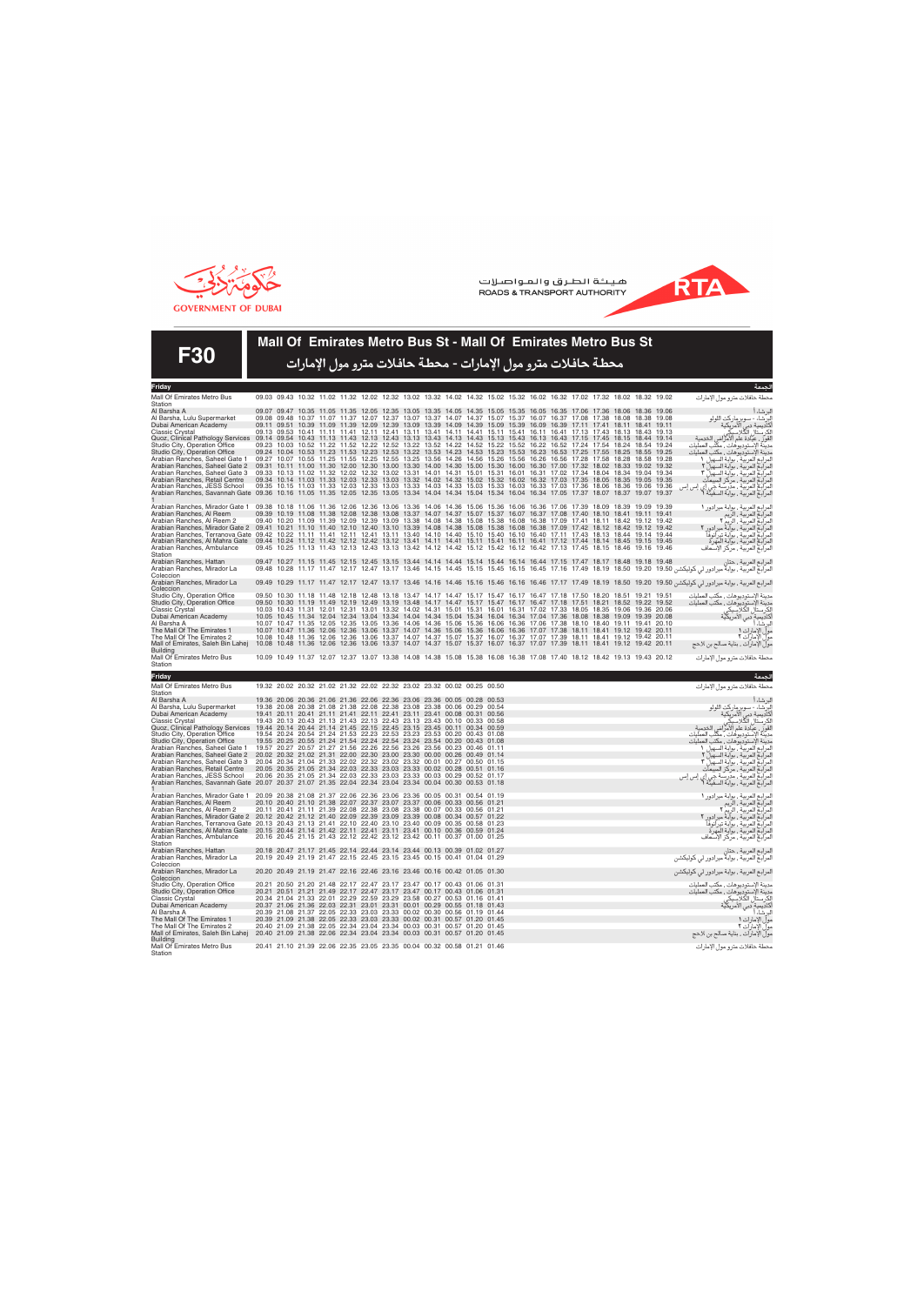



**F30**

#### **Mall Of Emirates Metro Bus St - Mall Of Emirates Metro Bus St**

محطة حافلات مترو مول الإمارات - محطة حافلات مترو مول الإمارات

| Friday                                                                                                                                                                                                                                                                                                                                                                                                                                                                                                                                                                                                                                                                                                                          |                                                                                                       |                                                                                                                                                                                                                                                                                                                                                                                                          |       |       |       |                                     |       |  |                                                                                  |  |                                     |             |                                                                                                             |       |                         |                                                                                                                                                                                                                                                          |
|---------------------------------------------------------------------------------------------------------------------------------------------------------------------------------------------------------------------------------------------------------------------------------------------------------------------------------------------------------------------------------------------------------------------------------------------------------------------------------------------------------------------------------------------------------------------------------------------------------------------------------------------------------------------------------------------------------------------------------|-------------------------------------------------------------------------------------------------------|----------------------------------------------------------------------------------------------------------------------------------------------------------------------------------------------------------------------------------------------------------------------------------------------------------------------------------------------------------------------------------------------------------|-------|-------|-------|-------------------------------------|-------|--|----------------------------------------------------------------------------------|--|-------------------------------------|-------------|-------------------------------------------------------------------------------------------------------------|-------|-------------------------|----------------------------------------------------------------------------------------------------------------------------------------------------------------------------------------------------------------------------------------------------------|
| Mall Of Emirates Metro Bus<br>Station                                                                                                                                                                                                                                                                                                                                                                                                                                                                                                                                                                                                                                                                                           |                                                                                                       | 09.03 09.43 10.32 11.02 11.32 12.02 12.32 13.02 13.32 14.02 14.32 15.02 15.32 16.02 16.32 17.02 17.32 18.02 18.32 19.02                                                                                                                                                                                                                                                                                  |       |       |       |                                     |       |  |                                                                                  |  |                                     |             |                                                                                                             |       |                         | ىحطة حافلات مترو مول الإمارات                                                                                                                                                                                                                            |
| Al Barsha A<br>Al Barsha, Lulu Supermarket<br>Dubai American Academy<br>Classic Crystal                                                                                                                                                                                                                                                                                                                                                                                                                                                                                                                                                                                                                                         |                                                                                                       | 09.07 09.47 10.35 11.05 11.35 12.05 12.35 13.05 13.35 14.05 14.35 15.05 15.35 16.05 16.35 17.06 17.36 18.06 18.36<br>09.08 09.48 10.37 11.07 11.37 12.07 12.37 13.07 13.37 14.07 14.37 15.07 15.37 16.07 16.37 17.08 17.38 18.08 18.38<br>09.11 09.51 10.39 11.09 11.39 12.09 12.39 13.09 13.39 14.09 14.39 15.09 15.39 16.09 16.39 17.11 17.41 18.11 18.41 19.11<br>09.13 09.53 10.41 11.11 11.41 12.11 |       |       |       |                                     |       |  | 12.41 13.11 13.41 14.11 14.41 15.11 15.41 16.11 16.41 17.13 17.43                |  |                                     |             | 18.13 18.43 19.13                                                                                           |       | 19.06<br>19.08          | اسرساء<br>الكرامية دبي الأمريكية<br>الكرستال الكلاسيكي<br>القور ، عيادة علم الأمراض الخدمية<br>مدينة الإستوديوهات ، مكتب العمليات<br>مدينة الإستوديوهات ، مكتب العمليات                                                                                  |
| Quoz, Clinical Pathology Services<br>Studio City, Operation Office<br>Studio City, Operation Office<br>Arabian Ranches, Saheel Gate 1                                                                                                                                                                                                                                                                                                                                                                                                                                                                                                                                                                                           | 09.14 09.54 10.43 11.13 11.43 12.13 12.43 13.13 13.43 14.13 14.43 15.13 15.43 16.13 16.43 17.15 17.45 | 09.23 10.03 10.52 11.22 11.52 12.22<br>09.24 10.04 10.53 11.23 11.53 12.23 12.53 13.22 13.53 14.23 14.53 15.23 15.53 16.23 16.53 17.25 17.55 18.25 18.55 19.25<br>09.27 10.07 10.55 11.25 11.55 12.25 12.55 13.25 13.56 14.26 14.56 15.26 15.56 16.26 16.56 17.28 17.58 18.28 18.58 19.28                                                                                                                |       |       |       | 12.52 13.22 13.52 14.22 14.52       |       |  |                                                                                  |  | 15.22 15.52 16.22 16.52 17.24 17.54 |             | 18.15 18.44<br>18 24 18 54 19 24                                                                            |       | 19.14                   | مدينة الإستوديوهات مكتب العمليات                                                                                                                                                                                                                         |
| Arabian Ranches, Saheel Gate 2<br>Arabian Ranches, Saheel Gate 3<br>Arabian Ranches, Retail Centre<br>Arabian Ranches, JESS School                                                                                                                                                                                                                                                                                                                                                                                                                                                                                                                                                                                              |                                                                                                       | 09.31 10.11 11.00 11.30 12.00 12.30<br>09.33 10.13 11.02 11.32 12.02 12.32<br>09.34 10.14 11.03 11.33 12.03 12.33 13.03 13.32 14.02 14.32 15.02 15.32 16.02 16.32 17.03 17.35 18.05 18.35 19.05<br>09.35 10.15 11.03 11.33 12.03 12.33                                                                                                                                                                   |       |       |       | 13.02 13.31 14.01 14.31 15.01       |       |  | 15.31 16.01<br>13.03 13.33 14.03 14.33 15.03 15.33 16.03 16.33 17.03 17.36 18.06 |  | 16.31 17.02 17.34 18.04             |             | 13.00 13.30 14.00 14.30 15.00 15.30 16.00 16.30 17.00 17.32 18.02 18.33 19.02 19.32<br>18.34 19.04<br>18.36 | 19.06 | 19.34<br>19.35<br>19.36 | مبيه- وبسوديو هاست بمنب العمليات<br>المرابع العربية ، بوابة السهيل 1<br>المرابع العربية ، بوابة السهيل ٢<br>المرابع العربية ، بوابة السهيل ٣<br>المرابع العربية ، مردسة جي إي إس إس<br>المرابع العربية ، بوابة السفينة ؟<br>المرابع العربية ، ب          |
| Arabian Ranches, Savannah Gate 09.36 10.16 11.05 11.35 12.05 12.35                                                                                                                                                                                                                                                                                                                                                                                                                                                                                                                                                                                                                                                              |                                                                                                       |                                                                                                                                                                                                                                                                                                                                                                                                          |       |       |       |                                     |       |  |                                                                                  |  |                                     |             | 13.05 13.34 14.04 14.34 15.04 15.34 16.04 16.34 17.05 17.37 18.07 18.37 19.07                               |       | 19.37                   |                                                                                                                                                                                                                                                          |
| Arabian Ranches, Mirador Gate 1 09.38 10.18 11.06 11.36 12.06 12.36 13.06 13.36 14.06 14.36 15.06 15.36 16.06 16.36 17.06 17.39 18.09 18.39 19.09 19.39<br>Arabian Ranches, Al Reem<br>Arabian Ranches, Al Reem 2<br>Arabian Ranches, Mirador Gate 2 09.41 10.21 11.10 11.40 12.10 12.40 13.10 13.39 14.08 14.38 15.08 15.38 16.08 16.38 17.09 17.42 18.12 18.42 19.12 19.42<br>Arabian Ranches, Terranova Gate 09.42 10.22 11.11 11.41 12.11 12.41 13.11 13.40 14.10 14.40 15.10 15.40 16.10 16.40 17.11 17.43 18.13 18.43 19.14 19.44<br>Arabian Ranches, Al Mahra Gate 09.44 10.24 11.12 11.42 12.12 12.42 13.12 13.41 14.11 14.41 15.11 15.41 16.11 16.41 17.12 17.44 18.14 18.45 19.15 19.45<br>Arabian Ranches, Ambulance |                                                                                                       | 09.39 10.19 11.08 11.38 12.08 12.38 13.08 13.37 14.07 14.37 15.07 15.37 16.07 16.37 17.08 17.40 18.10 18.41 19.11 19.41<br>09.40 10.20 11.09 11.39 12.09 12.39 13.09 13.38 14.08 14.38 15.08 15.38 16.08 16.38 17.09 17.41 18.11 18.42 19.12 19.42<br>09.45 10.25 11.13 11.43 12.13 12.43 13.13 13.42 14.12 14.42 15.12 15.42 16.12 16.42 17.13 17.45 18.15 18.46 19.16 19.46                            |       |       |       |                                     |       |  |                                                                                  |  |                                     |             |                                                                                                             |       |                         | المرابع العربية ، بوابة ميرادور ١<br>المرابع العربية ، الريم ٢<br>المرابع العربية ، الريم ٢<br>المرابع العربية ، بوابة تيرانوفا<br>المرابع العربية ، بوابة تيرانوفا<br>المرابع العربية ، بوابة تيرانوفا<br>المرابع العربية ، مركز الإسعاف                |
| Station<br>Arabian Ranches, Hattan<br>Arabian Ranches, Mirador La                                                                                                                                                                                                                                                                                                                                                                                                                                                                                                                                                                                                                                                               |                                                                                                       | 09.47 10.27 11.15 11.45 12.15 12.45 13.15 13.44 14.14 14.44 15.14 15.44 16.14 16.44 17.15 17.47 18.17 18.48 19.18 19.48                                                                                                                                                                                                                                                                                  |       |       |       |                                     |       |  |                                                                                  |  |                                     |             |                                                                                                             |       |                         | المرابع العربية ، حتان<br>المرابع العربية ، بوابلا ميرادور لي كوليكشن 18.50   16.19   17.48   17.18   16.45   17.18   17.19   17.49   18.50   16.50   19.50   19.50   16.76   17.19   17.49   17.19   17.49   18.50   19.50   19.50   19.50   19.50   17 |
| Coleccion<br>Arabian Ranches, Mirador La                                                                                                                                                                                                                                                                                                                                                                                                                                                                                                                                                                                                                                                                                        |                                                                                                       |                                                                                                                                                                                                                                                                                                                                                                                                          |       |       |       |                                     |       |  |                                                                                  |  |                                     |             |                                                                                                             |       |                         | المرابع العربية ، بوابة ميرادور لي كوليكشن 19.50  19.10  18.19  17.17  16.16  16.16  16.16  16.16  17.17  17.49  18.19  19.20  19.20  19.20  19.17  11.17  11.47  12.47  13.46  14.16  14.16  15.16  15.16  16.16  16.46  17.1                           |
| Coleccion<br>Studio City, Operation Office                                                                                                                                                                                                                                                                                                                                                                                                                                                                                                                                                                                                                                                                                      |                                                                                                       | 09.50 10.30 11.18 11.48 12.18 12.48 13.18 13.47 14.17 14.47 15.17 15.47 16.17 16.47 17.18 17.50 18.20 18.51 19.21 19.51                                                                                                                                                                                                                                                                                  |       |       |       |                                     |       |  |                                                                                  |  |                                     |             |                                                                                                             |       |                         | مدينة الإستوديوهات ، مكتب العمليات                                                                                                                                                                                                                       |
| Studio City, Operation Office<br><b>Classic Crystal</b><br>Dubai American Academy                                                                                                                                                                                                                                                                                                                                                                                                                                                                                                                                                                                                                                               |                                                                                                       | 09.50 10.30 11.19 11.49 12.19 12.49 13.19 13.48 14.17 14.47 15.17 15.47 16.17 16.47 17.18 17.51 18.21 18.52 19.22 19.52<br>10.03 10.43 11.31 12.01 12.31 13.01<br>10.05 10.45 11.34 12.04 12.34 13.04 13.34 14.04 14.34 15.04 15.34 16.04 16.34 17.04 17.36 18.08 18.38 19.09 19.39 20.08                                                                                                                |       |       |       |                                     |       |  | 13.32 14.02 14.31 15.01 15.31 16.01 16.31 17.02 17.33 18.05 18.35                |  |                                     |             | 19.06 19.36                                                                                                 |       | 20.06                   |                                                                                                                                                                                                                                                          |
| Al Barsha A<br>The Mall Of The Emirates 1<br>The Mall Of The Emirates 2                                                                                                                                                                                                                                                                                                                                                                                                                                                                                                                                                                                                                                                         |                                                                                                       | 10.07 10.47 11.35<br>10.07 10.47 11.36 12.06 12.36 13.06<br>10.08 10.48 11.36 12.06 12.36 13.06 13.37 14.07 14.37 15.07 15.37 16.07 16.37 17.07 17.39 18.11 18.41 19.12 19.42 20.11                                                                                                                                                                                                                      | 12.05 | 12.35 | 13.05 | 13.36 14.06                         | 14.36 |  | 15.06 15.36 16.06 16.36 17.06 17.38                                              |  |                                     | 18.10 18.40 | 19.11 19.41 20.10<br>13.37 14.07 14.36 15.06 15.36 16.06 16.36 17.07 17.38 18.11 18.41 19.12 19.42          |       | 20.11                   | البر شاء أ<br>مولِّ الإمارات ١                                                                                                                                                                                                                           |
| Mall of Emirates, Saleh Bin Lahej<br><b>Building</b><br>Mall Of Emirates Metro Bus                                                                                                                                                                                                                                                                                                                                                                                                                                                                                                                                                                                                                                              |                                                                                                       | 10.08 10.48 11.36 12.06 12.36<br>10.09 10.49 11.37 12.07 12.37 13.07 13.38 14.08 14.38 15.08 15.38 16.08 16.38 17.08 17.40 18.12 18.42 19.13 19.43 20.12                                                                                                                                                                                                                                                 |       |       | 13.06 |                                     |       |  |                                                                                  |  |                                     |             | 13.37 14.07 14.37 15.07 15.37 16.07 16.37 17.07 17.39 18.11 18.41 19.12 19.42 20.11                         |       |                         | .<br>مول الإمارات ٢<br>مول الإمارات ، بناية صالح بن لاحج                                                                                                                                                                                                 |
| Station                                                                                                                                                                                                                                                                                                                                                                                                                                                                                                                                                                                                                                                                                                                         |                                                                                                       |                                                                                                                                                                                                                                                                                                                                                                                                          |       |       |       |                                     |       |  |                                                                                  |  |                                     |             |                                                                                                             |       |                         | محطة حافلات مترو مول الإمارات                                                                                                                                                                                                                            |
|                                                                                                                                                                                                                                                                                                                                                                                                                                                                                                                                                                                                                                                                                                                                 |                                                                                                       |                                                                                                                                                                                                                                                                                                                                                                                                          |       |       |       |                                     |       |  |                                                                                  |  |                                     |             |                                                                                                             |       |                         |                                                                                                                                                                                                                                                          |
| Friday                                                                                                                                                                                                                                                                                                                                                                                                                                                                                                                                                                                                                                                                                                                          |                                                                                                       |                                                                                                                                                                                                                                                                                                                                                                                                          |       |       |       |                                     |       |  |                                                                                  |  |                                     |             |                                                                                                             |       |                         | الجمعة                                                                                                                                                                                                                                                   |
| Mall Of Emirates Metro Bus<br>Station                                                                                                                                                                                                                                                                                                                                                                                                                                                                                                                                                                                                                                                                                           |                                                                                                       | 19.32 20.02 20.32 21.02 21.32 22.02 22.32 23.02 23.32 00.02 00.25 00.50                                                                                                                                                                                                                                                                                                                                  |       |       |       |                                     |       |  |                                                                                  |  |                                     |             |                                                                                                             |       |                         | ىحطة حافلات مترو مول الإمارات                                                                                                                                                                                                                            |
| Al Barsha A                                                                                                                                                                                                                                                                                                                                                                                                                                                                                                                                                                                                                                                                                                                     |                                                                                                       | 19.36 20.06 20.36 21.06 21.36 22.06 22.36 23.06 23.36 00.05 00.28 00.53                                                                                                                                                                                                                                                                                                                                  |       |       |       |                                     |       |  |                                                                                  |  |                                     |             |                                                                                                             |       |                         | البرشاءأ                                                                                                                                                                                                                                                 |
| Al Barsha, Lulu Supermarket<br>Dubai American Academy                                                                                                                                                                                                                                                                                                                                                                                                                                                                                                                                                                                                                                                                           |                                                                                                       | 19.38 20.08 20.38 21.08 21.38 22.08 22.38 23.08 23.38 00.06 00.29 00.54<br>19.41 20.11 20.41 21.11 21.41 22.11 22.41 23.11 23.41 00.08 00.31 00.56                                                                                                                                                                                                                                                       |       |       |       |                                     |       |  |                                                                                  |  |                                     |             |                                                                                                             |       |                         |                                                                                                                                                                                                                                                          |
| Classic Crystal<br>Quoz, Clinical Pathology Services 19.44 20.14 20.44 21.14 21.45 22.15 22.45 23.15 23.45 00.11 00.34 00.59                                                                                                                                                                                                                                                                                                                                                                                                                                                                                                                                                                                                    |                                                                                                       | 19.43 20.13 20.43 21.13 21.43 22.13 22.43 23.13 23.43 00.10 00.33 00.58                                                                                                                                                                                                                                                                                                                                  |       |       |       |                                     |       |  |                                                                                  |  |                                     |             |                                                                                                             |       |                         |                                                                                                                                                                                                                                                          |
| Studio City, Operation Office                                                                                                                                                                                                                                                                                                                                                                                                                                                                                                                                                                                                                                                                                                   |                                                                                                       | 19.54 20.24 20.54 21.24 21.53 22.23 22.53 23.23 23.53 00.20 00.43 01.08                                                                                                                                                                                                                                                                                                                                  |       |       |       |                                     |       |  |                                                                                  |  |                                     |             |                                                                                                             |       |                         | اسرسد:<br>الكرامية: دسوبر ماركت اللولو<br>الكرستال الكلاسيكي<br>القوز ، عيادة علم الأمراض الخدمية<br>هدية الإستوديوهات ، مكتب العمليات<br>مدينة الإستوديوهات ، مكتب العمليات                                                                             |
| Studio City, Operation Office<br>Arabian Ranches, Saheel Gate 1                                                                                                                                                                                                                                                                                                                                                                                                                                                                                                                                                                                                                                                                 |                                                                                                       | 19.55 20.25 20.55 21.24 21.54 22.24 22.54 23.24 23.54 00.20 00.43 01.08<br>19.57 20.27 20.57 21.27 21.56 22.26                                                                                                                                                                                                                                                                                           |       |       |       | 22.56 23.26 23.56 00.23 00.46 01.11 |       |  |                                                                                  |  |                                     |             |                                                                                                             |       |                         | مدينة الإستوديوهات , مكتب العمليات<br>المرابع العربية ، بوابة السهيل ١                                                                                                                                                                                   |
| Arabian Ranches, Saheel Gate 2<br>Arabian Ranches, Saheel Gate 3                                                                                                                                                                                                                                                                                                                                                                                                                                                                                                                                                                                                                                                                |                                                                                                       | 20.02 20.32 21.02 21.31 22.00 22.30 23.00 23.30 00.00 00.26 00.49 01.14<br>20.04 20.34 21.04 21.33 22.02 22.32 23.02 23.32 00.01 00.27 00.50 01.15                                                                                                                                                                                                                                                       |       |       |       |                                     |       |  |                                                                                  |  |                                     |             |                                                                                                             |       |                         |                                                                                                                                                                                                                                                          |
| Arabian Ranches, Retail Centre                                                                                                                                                                                                                                                                                                                                                                                                                                                                                                                                                                                                                                                                                                  |                                                                                                       | 20.05 20.35 21.05 21.34 22.03 22.33                                                                                                                                                                                                                                                                                                                                                                      |       |       |       | 23.03 23.33 00.02 00.28 00.51 01.16 |       |  |                                                                                  |  |                                     |             |                                                                                                             |       |                         |                                                                                                                                                                                                                                                          |
| Arabian Ranches, JESS School<br>Arabian Ranches, Savannah Gate 20.07 20.37 21.07 21.35 22.04 22.34 23.04 23.34 00.04 00.30 00.53 01.18                                                                                                                                                                                                                                                                                                                                                                                                                                                                                                                                                                                          |                                                                                                       | 20.06 20.35 21.05 21.34 22.03 22.33 23.03 23.33 00.03 00.29 00.52 01.17                                                                                                                                                                                                                                                                                                                                  |       |       |       |                                     |       |  |                                                                                  |  |                                     |             |                                                                                                             |       |                         | المرابع العربية ، يواب الشهيد<br>المرابع العربية ، بوابة السهيل ٢<br>المرابع العربية ، بوابة السهيل ٣<br>المرابع العربية ، مدرسة جي إي إس إس<br>المرابع العربية ، بوابة السفينة ٦                                                                        |
| Arabian Ranches, Mirador Gate 1<br>Arabian Ranches, Al Reem                                                                                                                                                                                                                                                                                                                                                                                                                                                                                                                                                                                                                                                                     |                                                                                                       | 20.09 20.38 21.08 21.37 22.06 22.36 23.06 23.36 00.05 00.31 00.54 01.19<br>20.10 20.40 21.10 21.38 22.07 22.37 23.07 23.37 00.06 00.33 00.56 01.21                                                                                                                                                                                                                                                       |       |       |       |                                     |       |  |                                                                                  |  |                                     |             |                                                                                                             |       |                         |                                                                                                                                                                                                                                                          |
| Arabian Ranches, Al Reem 2                                                                                                                                                                                                                                                                                                                                                                                                                                                                                                                                                                                                                                                                                                      |                                                                                                       | 20.11 20.41 21.11 21.39 22.08 22.38                                                                                                                                                                                                                                                                                                                                                                      |       |       |       | 23.08 23.38 00.07 00.33 00.56 01.21 |       |  |                                                                                  |  |                                     |             |                                                                                                             |       |                         |                                                                                                                                                                                                                                                          |
| Arabian Ranches, Mirador Gate 2 20.12 20.42 21.12 21.40 22.09 22.39 23.09 23.39 00.08 00.34 00.57 01.22<br>Arabian Ranches, Terranova Gate 20.13 20.43 21.13 21.41 22.10 22.40 23.10 23.40 00.09 00.35 00.58 01.23                                                                                                                                                                                                                                                                                                                                                                                                                                                                                                              |                                                                                                       |                                                                                                                                                                                                                                                                                                                                                                                                          |       |       |       |                                     |       |  |                                                                                  |  |                                     |             |                                                                                                             |       |                         | المرابع العربية ، بوابة ميرادور ١<br>المرابع العربية ، الريم ٢<br>المرابع العربية ، الريم ٢<br>المرابع العربية ، براءة : أن ذا                                                                                                                           |
| Arabian Ranches, Al Mahra Gate 20.15 20.44 21.14 21.42 22.11 22.41 23.11 23.41 00.10 00.36 00.59 01.24<br>Arabian Ranches, Ambulance                                                                                                                                                                                                                                                                                                                                                                                                                                                                                                                                                                                            |                                                                                                       | 20.16 20.45 21.15 21.43 22.12 22.42 23.12 23.42 00.11 00.37 01.00 01.25                                                                                                                                                                                                                                                                                                                                  |       |       |       |                                     |       |  |                                                                                  |  |                                     |             |                                                                                                             |       |                         | المرابع العربية ، بوابة تيرانوفاً<br>المرابع العربية ، بوابة المهرة<br>المرابع العربية ، مركز الإسعاف                                                                                                                                                    |
| Station<br>Arabian Ranches, Hattan                                                                                                                                                                                                                                                                                                                                                                                                                                                                                                                                                                                                                                                                                              |                                                                                                       | 20.18 20.47 21.17 21.45 22.14 22.44 23.14 23.44 00.13 00.39 01.02 01.27                                                                                                                                                                                                                                                                                                                                  |       |       |       |                                     |       |  |                                                                                  |  |                                     |             |                                                                                                             |       |                         |                                                                                                                                                                                                                                                          |
| Arabian Ranches, Mirador La<br>Coleccion                                                                                                                                                                                                                                                                                                                                                                                                                                                                                                                                                                                                                                                                                        |                                                                                                       | 20.19 20.49 21.19 21.47 22.15 22.45 23.15 23.45 00.15 00.41 01.04 01.29                                                                                                                                                                                                                                                                                                                                  |       |       |       |                                     |       |  |                                                                                  |  |                                     |             |                                                                                                             |       |                         | المرابع العربية ، حتان<br>المرابع العربية ، بوابة ميرادور لي كوليكشن                                                                                                                                                                                     |
| Arabian Ranches, Mirador La<br>Coleccion                                                                                                                                                                                                                                                                                                                                                                                                                                                                                                                                                                                                                                                                                        |                                                                                                       | 20.20 20.49 21.19 21.47 22.16 22.46 23.16 23.46 00.16 00.42 01.05 01.30                                                                                                                                                                                                                                                                                                                                  |       |       |       |                                     |       |  |                                                                                  |  |                                     |             |                                                                                                             |       |                         | المرابع العربية ، بوابة ميرادور لي كوليكشن                                                                                                                                                                                                               |
| Studio City, Operation Office<br>Studio City, Operation Office                                                                                                                                                                                                                                                                                                                                                                                                                                                                                                                                                                                                                                                                  |                                                                                                       | 20.21 20.50 21.20 21.48 22.17 22.47 23.17 23.47 00.17 00.43 01.06 01.31<br>20.21 20.51 21.21 21.49 22.17 22.47 23.17 23.47 00.17 00.43 01.06 01.31                                                                                                                                                                                                                                                       |       |       |       |                                     |       |  |                                                                                  |  |                                     |             |                                                                                                             |       |                         | ىدينة الإستوديوهات ، مكتب العمليات<br>مدينة الإستوديوهات ، مكتب العمليات                                                                                                                                                                                 |
| Classic Crystal<br>Dubai American Academy                                                                                                                                                                                                                                                                                                                                                                                                                                                                                                                                                                                                                                                                                       |                                                                                                       | 20.34 21.04 21.33 22.01 22.29 22.59 23.29 23.58 00.27 00.53 01.16 01.41<br>20.37 21.06 21.36 22.03 22.31 23.01 23.31 00.01 00.29 00.55 01.18 01.43                                                                                                                                                                                                                                                       |       |       |       |                                     |       |  |                                                                                  |  |                                     |             |                                                                                                             |       |                         |                                                                                                                                                                                                                                                          |
| Al Barsha A                                                                                                                                                                                                                                                                                                                                                                                                                                                                                                                                                                                                                                                                                                                     |                                                                                                       | 20.39 21.08 21.37 22.05 22.33 23.03 23.33 00.02 00.30 00.56 01.19 01.44                                                                                                                                                                                                                                                                                                                                  |       |       |       |                                     |       |  |                                                                                  |  |                                     |             |                                                                                                             |       |                         | .<br>الكرستأل الكلاسيكي<br>أكاديمية دبي الأمريكية<br>أ<br>البر شاء أ                                                                                                                                                                                     |
| The Mall Of The Emirates 1<br>The Mall Of The Emirates 2<br>Mall of Emirates, Saleh Bin Lahej<br><b>Building</b>                                                                                                                                                                                                                                                                                                                                                                                                                                                                                                                                                                                                                |                                                                                                       | 20.39 21.09 21.38 22.05 22.33 23.03 23.33 00.02 00.31 00.57 01.20 01.45<br>20.40 21.09 21.38 22.05 22.34 23.04<br>20.40 21.09 21.38 22.06 22.34 23.04 23.34 00.03 00.31 00.57 01.20 01.45                                                                                                                                                                                                                |       |       |       | 23.34 00.03 00.31 00.57 01.20 01.45 |       |  |                                                                                  |  |                                     |             |                                                                                                             |       |                         | مولّ الإمارات ١<br>مول الإمارات ٢<br>مول الإمارات , بناية صالح بن لاحج                                                                                                                                                                                   |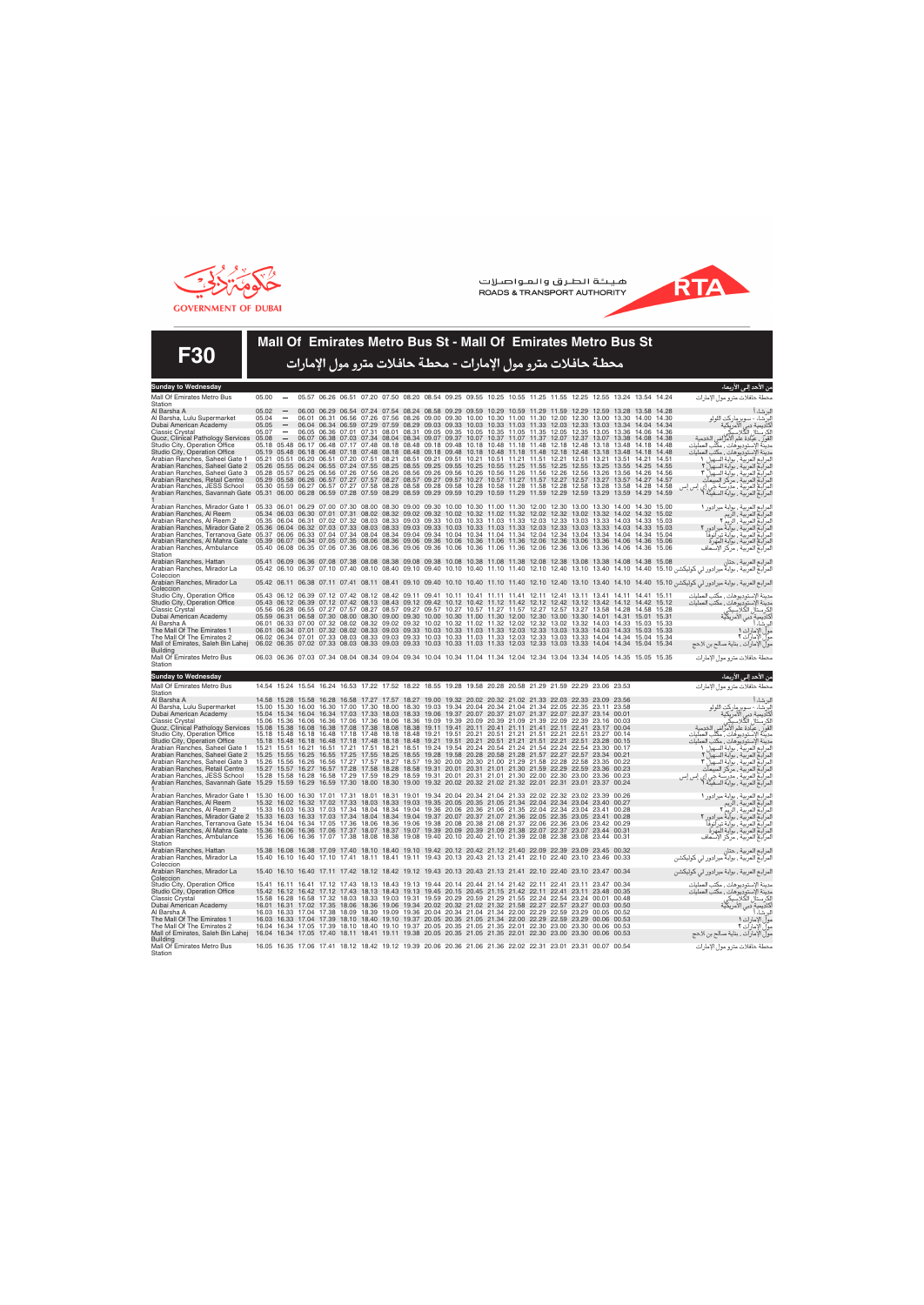



**F30**

### **Mall Of Emirates Metro Bus St - Mall Of Emirates Metro Bus St**

محطة حافلات مترو مول الإمارات - محطة حافلات مترو مول <u>ا</u>لإمارات

| <b>Sunday to Wednesday</b>                                                                                                                                                                      |                |                                                             |       |       |                                                                                                                                                                                                                                                    |       |                   |       |             |                                                                                                                                  |                         |       |                               |       |                                        |                                     |       |       |                                                                                                                                                                                                                                                 | من الاحد إلى الاربعاء |
|-------------------------------------------------------------------------------------------------------------------------------------------------------------------------------------------------|----------------|-------------------------------------------------------------|-------|-------|----------------------------------------------------------------------------------------------------------------------------------------------------------------------------------------------------------------------------------------------------|-------|-------------------|-------|-------------|----------------------------------------------------------------------------------------------------------------------------------|-------------------------|-------|-------------------------------|-------|----------------------------------------|-------------------------------------|-------|-------|-------------------------------------------------------------------------------------------------------------------------------------------------------------------------------------------------------------------------------------------------|-----------------------|
| Mall Of Emirates Metro Bus                                                                                                                                                                      | 05.00          |                                                             |       |       | 05.57 06.26 06.51 07.20 07.50 08.20 08.54 09.25 09.55 10.25 10.55 11.25 11.55 12.25 12.55 13.24 13.54 14.24                                                                                                                                        |       |                   |       |             |                                                                                                                                  |                         |       |                               |       |                                        |                                     |       |       | محطة حافلات مترو مول الإمارات                                                                                                                                                                                                                   |                       |
| Station                                                                                                                                                                                         |                |                                                             |       |       |                                                                                                                                                                                                                                                    |       |                   |       |             |                                                                                                                                  |                         |       |                               |       |                                        |                                     |       |       |                                                                                                                                                                                                                                                 |                       |
| Al Barsha A<br>Al Barsha, Lulu Supermarket                                                                                                                                                      | 05.02<br>05.04 | $\sim$                                                      |       |       | 06.00 06.29 06.54 07.24 07.54 08.24 08.58 09.29 09.59 10.29 10.59 11.29 11.59 12.29 12.59 13.28 13.58 14.28<br>06.01 06.31 06.56 07.26 07.56 08.26 09.00 09.30 10.00 10.30 11.00 11.30                                                             |       |                   |       |             |                                                                                                                                  |                         |       | 12.00                         | 12.30 | 13.00                                  | 13.30                               | 14.00 | 14.30 | لبرشاء أ<br>الرشاء - سوبر ماركت اللولو<br>كاديمية دبي الأمريكية<br>لا- رستال الكلاسيكي .<br>لا-                                                                                                                                                 |                       |
| Dubai American Academy                                                                                                                                                                          | 05.05          |                                                             |       |       | 06.04 06.34 06.59 07.29 07.59 08.29 09.03 09.33 10.03 10.33 11.03 11.33 12.03 12.33 13.03 13.34 14.04 14.34                                                                                                                                        |       |                   |       |             |                                                                                                                                  |                         |       |                               |       |                                        |                                     |       |       |                                                                                                                                                                                                                                                 |                       |
| Classic Crystal                                                                                                                                                                                 | 05.07          | $\overline{\phantom{m}}$<br>$\hspace{0.1mm}-\hspace{0.1mm}$ |       |       | 06.05 06.36 07.01 07.31 08.01 08.31 09.05 09.35 10.05 10.35 11.05 11.35                                                                                                                                                                            |       |                   |       |             |                                                                                                                                  |                         |       |                               |       |                                        | 12.05 12.35 13.05 13.36 14.06 14.36 |       |       |                                                                                                                                                                                                                                                 |                       |
| Quoz, Clinical Pathology Services<br>Studio City, Operation Office                                                                                                                              | 05.08          |                                                             |       |       | 06.07 06.38 07.03 07.34 08.04 08.34 09.07 09.37 10.07 10.37 11.07 11.37 12.07 12.37 13.07 13.38 14.08 14.38<br>05.18 05.48 06.17 06.48 07.17 07.48 08.18 08.48 09.18 09.48 10.18 10.48 11.18 11.48                                                 |       |                   |       |             |                                                                                                                                  |                         |       |                               |       |                                        | 12.18 12.48 13.18 13.48 14.18 14.48 |       |       | لقورٌ ، عيادة علم الأمراض الخدمية<br>مدينة الإستوديوهات ، مكّتب العمليات                                                                                                                                                                        |                       |
| Studio City, Operation Office                                                                                                                                                                   |                |                                                             |       |       | 05.19 05.48 06.18 06.48 07.18 07.48 08.18 08.48 09.18                                                                                                                                                                                              |       |                   |       |             | 09.48 10.18                                                                                                                      | 10.48 11.18 11.48       |       | 12.18                         | 12.48 |                                        | 13.18 13.48 14.18 14.48             |       |       | مدينة الإستوديوهات ، مكتب العمليات                                                                                                                                                                                                              |                       |
| Arabian Ranches, Saheel Gate 1                                                                                                                                                                  |                |                                                             |       |       | 05.21 05.51 06.20 06.51 07.20 07.51 08.21 08.51 09.21 09.51 10.21 10.51 11.21 11.51 12.21 12.51 13.21 13.51 14.21                                                                                                                                  |       |                   |       |             |                                                                                                                                  |                         |       |                               |       |                                        |                                     |       | 14.51 |                                                                                                                                                                                                                                                 |                       |
| Arabian Ranches, Saheel Gate 2                                                                                                                                                                  |                |                                                             |       |       | 05.26 05.55 06.24 06.55 07.24 07.55 08.25 08.55 09.25 09.55 10.25 10.55 11.25 11.55 12.25 12.55 13.25 13.55 14.25 14.55                                                                                                                            |       |                   |       |             |                                                                                                                                  |                         |       |                               |       |                                        |                                     |       |       | مدينه اوستونيومنت، منسب انعميسا<br>المراجع العربية ، بوابة السهيل ٢<br>لمرابع العربية ، بوابة السهيل ٢<br>المرابع العربية ، بركز السيعات<br>المرابع العربية ، مررسة جي إي إس إس<br>لمرابع العربية ، بورسة السفينة ؟<br>لمرابع العربية ، بوابة ا |                       |
| Arabian Ranches, Saheel Gate 3<br>Arabian Ranches, Retail Centre                                                                                                                                |                |                                                             |       |       | 05.28 05.57 06.25 06.56 07.26 07.56 08.26 08.56 09.26<br>05.29 05.58 06.26 06.57 07.27 07.57 08.27 08.57 09.27 09.57 10.27 10.57 11.27 11.57 12.27                                                                                                 |       |                   |       |             | 09.56 10.26                                                                                                                      | 10.56 11.26 11.56       |       | 12.26                         | 12.56 | 13.26 13.56                            | 12.57 13.27 13.57 14.27 14.57       | 14.26 | 14.56 |                                                                                                                                                                                                                                                 |                       |
| Arabian Ranches, JESS School                                                                                                                                                                    |                |                                                             |       |       | 05.30 05.59 06.27 06.57 07.27 07.58 08.28 08.58 09.28                                                                                                                                                                                              |       |                   |       |             | 09.58 10.28                                                                                                                      | 10.58 11.28             | 11.58 | 12.28                         | 12.58 | 13.28                                  | 13.58                               | 14.28 | 14.58 |                                                                                                                                                                                                                                                 |                       |
| Arabian Ranches, Savannah Gate 05.31 06.00 06.28 06.59 07.28 07.59 08.29 08.59 09.29                                                                                                            |                |                                                             |       |       |                                                                                                                                                                                                                                                    |       |                   |       |             | 09.59 10.29 10.59 11.29 11.59 12.29 12.59 13.29 13.59 14.29                                                                      |                         |       |                               |       |                                        |                                     |       | 14.59 |                                                                                                                                                                                                                                                 |                       |
|                                                                                                                                                                                                 |                |                                                             |       |       |                                                                                                                                                                                                                                                    |       |                   |       |             |                                                                                                                                  |                         |       |                               |       |                                        |                                     |       |       |                                                                                                                                                                                                                                                 |                       |
| Arabian Ranches, Mirador Gate 1<br>Arabian Ranches, Al Reem                                                                                                                                     |                |                                                             |       |       | 05.33 06.01 06.29 07.00 07.30 08.00 08.30 09.00 09.30 10.00 10.30 11.00 11.30 12.00 12.30 13.00 13.30 14.00 14.30 15.00<br>05.34 06.03 06.30 07.01 07.31 08.02 08.32 09.02 09.32 10.02 10.32 11.02 11.32 12.02 12.32 13.02 13.32 14.02 14.32 15.02 |       |                   |       |             |                                                                                                                                  |                         |       |                               |       |                                        |                                     |       |       | لمرابع العربية ، بوابة ميرادور ١<br>لمرابع العربية ، الريم<br>لمرابع العربية ، الريم ؟<br>لمرابع العربية ، بوابة تيرانوفا<br>لمرابع العربية ، بوابة المهرة<br>لمرابع العربية ، برابة المهرة                                                     |                       |
| Arabian Ranches, Al Reem 2                                                                                                                                                                      |                |                                                             |       |       | 05.35 06.04 06.31 07.02 07.32 08.03 08.33 09.03 09.33 10.03 10.33 11.03 11.33 12.03                                                                                                                                                                |       |                   |       |             |                                                                                                                                  |                         |       | 12.33                         |       |                                        | 13.03 13.33 14.03 14.33 15.03       |       |       |                                                                                                                                                                                                                                                 |                       |
| Arabian Ranches, Mirador Gate 2 05.36 06.04 06.32 07.03 07.33 08.03 08.33 09.03 09.33 10.03 10.33 11.03 11.33 12.03 12.03 12.33 13.03 13.33 14.03 14.33 15.03                                   |                |                                                             |       |       |                                                                                                                                                                                                                                                    |       |                   |       |             |                                                                                                                                  |                         |       |                               |       |                                        |                                     |       |       |                                                                                                                                                                                                                                                 |                       |
| Arabian Ranches, Terranova Gate 05.37<br>Arabian Ranches, Al Mahra Gate 05.39 06.07 06.34 07.05 07.35 08.06 08.36 09.06 09.36 10.06 10.36 11.06 11.36 12.06 12.36 13.06 13.36 14.06 14.36 15.06 |                |                                                             |       |       | 06.06 06.33 07.04 07.34 08.04 08.34 09.04 09.34 10.04 10.34 11.04 11.34 12.04 12.34                                                                                                                                                                |       |                   |       |             |                                                                                                                                  |                         |       |                               |       |                                        | 13.04 13.34 14.04 14.34 15.04       |       |       |                                                                                                                                                                                                                                                 |                       |
| Arabian Ranches, Ambulance                                                                                                                                                                      |                |                                                             |       |       | 05.40 06.08 06.35 07.06 07.36 08.06 08.36 09.06 09.36 10.06 10.36 11.06 11.36 12.06 12.36                                                                                                                                                          |       |                   |       |             |                                                                                                                                  |                         |       |                               |       |                                        | 13.06 13.36 14.06 14.36 15.06       |       |       |                                                                                                                                                                                                                                                 |                       |
| Station                                                                                                                                                                                         |                |                                                             |       |       |                                                                                                                                                                                                                                                    |       |                   |       |             |                                                                                                                                  |                         |       |                               |       |                                        |                                     |       |       |                                                                                                                                                                                                                                                 |                       |
| Arabian Ranches, Hattan                                                                                                                                                                         |                |                                                             |       |       | 05.41 06.09 06.36 07.08 07.38 08.08 08.38 09.08 09.38 10.08 10.38 11.08 11.38 12.08 12.38 13.08 13.38 14.08 14.38 15.08                                                                                                                            |       |                   |       |             |                                                                                                                                  |                         |       |                               |       |                                        |                                     |       |       |                                                                                                                                                                                                                                                 |                       |
| Arabian Ranches, Mirador La<br>Coleccion                                                                                                                                                        |                |                                                             |       |       |                                                                                                                                                                                                                                                    |       |                   |       |             |                                                                                                                                  |                         |       |                               |       |                                        |                                     |       |       |                                                                                                                                                                                                                                                 |                       |
| Arabian Ranches, Mirador La                                                                                                                                                                     |                |                                                             |       |       |                                                                                                                                                                                                                                                    |       |                   |       |             |                                                                                                                                  |                         |       |                               |       |                                        |                                     |       |       | لمرابع العربية ، بوابة ميرادور لي كوليكشن 15.10 14.40 14.40 12.10 12.40 11.10 11.40 12.10 12.40 13.10 13.40 15.10 15.10 15.10 16.38 17.11 17.41 18.11 18.41 19.10 19.40 16.12 11.10 11.40 12.10 12.40 15.10 15.10 15.10 15.10                   |                       |
| Coleccion                                                                                                                                                                                       |                |                                                             |       |       |                                                                                                                                                                                                                                                    |       |                   |       |             |                                                                                                                                  |                         |       |                               |       |                                        |                                     |       |       |                                                                                                                                                                                                                                                 |                       |
| Studio City, Operation Office                                                                                                                                                                   |                |                                                             |       |       | 05.43 06.12 06.39 07.12 07.42 08.12 08.42 09.11 09.41 10.11 10.41 11.11 11.41 12.11 12.41                                                                                                                                                          |       |                   |       |             |                                                                                                                                  |                         |       |                               |       |                                        | 13.11 13.41 14.11 14.41 15.11       |       |       | مدينة الإستوديوهات ، مكتب العمليات                                                                                                                                                                                                              |                       |
| Studio City, Operation Office<br>Classic Crystal                                                                                                                                                |                |                                                             |       |       | 05.43 06.12 06.39 07.12 07.42 08.13 08.43 09.12 09.42 10.12 10.42 11.12 11.42 12.12 12.42 13.12 13.42 14.12 14.42 15.12<br>05.56 06.28 06.55 07.27 07.57 08.27 08.57 09.27 09.57 10.27 10.57 11.27 11.57 12.27                                     |       |                   |       |             |                                                                                                                                  |                         |       | 12.57                         |       |                                        | 13.27 13.58 14.28 14.58 15.28       |       |       |                                                                                                                                                                                                                                                 |                       |
| Dubai American Academy                                                                                                                                                                          |                |                                                             |       |       | 05.59 06.31 06.58 07.30 08.00 08.30 09.00 09.30 10.00 10.30 11.00 11.30 12.00 12.30                                                                                                                                                                |       |                   |       |             |                                                                                                                                  |                         |       | 13.00                         |       |                                        | 13.30 14.01 14.31 15.01 15.31       |       |       | صية<br>مدينة الإستوديوهات ، مكتب العمليات<br>لكرستال الكلاسيكي<br>كاديمية دبي الأمريكية<br>لبرشاء :                                                                                                                                             |                       |
| Al Barsha A                                                                                                                                                                                     |                |                                                             |       |       | 06.01 06.33 07.00 07.32 08.02 08.32 09.02 09.32 10.02 10.32 11.02 11.32 12.02 12.32                                                                                                                                                                |       |                   |       |             |                                                                                                                                  |                         |       |                               |       |                                        | 13.02 13.32 14.03 14.33 15.03 15.33 |       |       |                                                                                                                                                                                                                                                 |                       |
| The Mall Of The Emirates 1                                                                                                                                                                      |                |                                                             |       |       | 06.01 06.34 07.01 07.32 08.02 08.33 09.03 09.33 10.03 10.03 11.03 11.03 12.03 12.03 13.03 13.03 14.03 14.03 15.03 15.03                                                                                                                            |       |                   |       |             |                                                                                                                                  |                         |       |                               |       |                                        |                                     |       |       |                                                                                                                                                                                                                                                 | مولّ الإمارات ١       |
| The Mall Of The Emirates 2<br>Mall of Emirates, Saleh Bin Lahej                                                                                                                                 |                |                                                             |       |       | 06.02 06.34 07.01 07.33 08.03 08.33 09.03 09.33 10.03 10.03 11.03 11.03 12.03 12.03 13.03 13.03 14.04 14.34 15.04 15.34<br>06.02 06.35 07.02 07.33 08.03 08.33 09.03 09.33 10.03 10.33 11.03 11.33 12.03 12.33 13.03 13.33 14.04 14.34 15.04 15.34 |       |                   |       |             |                                                                                                                                  |                         |       |                               |       |                                        |                                     |       |       | مول الإمارات ٢<br>مول الإمارات , بناية صالح بن لاحج                                                                                                                                                                                             |                       |
| <b>Building</b>                                                                                                                                                                                 |                |                                                             |       |       |                                                                                                                                                                                                                                                    |       |                   |       |             |                                                                                                                                  |                         |       |                               |       |                                        |                                     |       |       |                                                                                                                                                                                                                                                 |                       |
| Mall Of Emirates Metro Bus                                                                                                                                                                      |                |                                                             |       |       | 06.03 06.36 07.03 07.34 08.04 08.34 09.04 09.34 10.04 10.34 11.04 11.34 12.04 12.34 13.04 13.34 14.05 14.35 15.05 15.35                                                                                                                            |       |                   |       |             |                                                                                                                                  |                         |       |                               |       |                                        |                                     |       |       | محطة حافلات مترو مول الإمارات                                                                                                                                                                                                                   |                       |
| Station                                                                                                                                                                                         |                |                                                             |       |       |                                                                                                                                                                                                                                                    |       |                   |       |             |                                                                                                                                  |                         |       |                               |       |                                        |                                     |       |       |                                                                                                                                                                                                                                                 |                       |
|                                                                                                                                                                                                 |                |                                                             |       |       |                                                                                                                                                                                                                                                    |       |                   |       |             |                                                                                                                                  |                         |       |                               |       |                                        |                                     |       |       |                                                                                                                                                                                                                                                 |                       |
| <b>Sunday to Wednesday</b>                                                                                                                                                                      |                |                                                             |       |       |                                                                                                                                                                                                                                                    |       |                   |       |             |                                                                                                                                  |                         |       |                               |       |                                        |                                     |       |       |                                                                                                                                                                                                                                                 |                       |
|                                                                                                                                                                                                 |                |                                                             |       |       | 14.54 15.24 15.54 16.24 16.53 17.22 17.52 18.22 18.55 19.28 19.58 20.28 20.58 21.29 21.59 22.29 23.06 23.53                                                                                                                                        |       |                   |       |             |                                                                                                                                  |                         |       |                               |       |                                        |                                     |       |       |                                                                                                                                                                                                                                                 | من الأحد إلى الأربعاء |
| Mall Of Emirates Metro Bus<br>Station                                                                                                                                                           |                |                                                             |       |       |                                                                                                                                                                                                                                                    |       |                   |       |             |                                                                                                                                  |                         |       |                               |       |                                        |                                     |       |       | محطة حافلات مترو مول الإمارات                                                                                                                                                                                                                   |                       |
| Al Barsha A                                                                                                                                                                                     |                |                                                             |       |       | 14.58 15.28 15.58 16.28 16.58 17.27 17.57 18.27 19.00 19.32 20.02 20.32 21.02 21.33 22.03 22.33 23.09 23.56                                                                                                                                        |       |                   |       |             |                                                                                                                                  |                         |       |                               |       |                                        |                                     |       |       |                                                                                                                                                                                                                                                 | لبر شاء أ             |
| Al Barsha, Lulu Supermarket                                                                                                                                                                     |                |                                                             |       |       | 15.00 15.30 16.00 16.30 17.00 17.30 18.00 18.30 19.03 19.34 20.04 20.34 21.04 21.34 22.05 22.35 23.11 23.58                                                                                                                                        |       |                   |       |             |                                                                                                                                  |                         |       |                               |       |                                        |                                     |       |       |                                                                                                                                                                                                                                                 |                       |
| Dubai American Academy                                                                                                                                                                          |                |                                                             |       |       | 15.04 15.34 16.04 16.34 17.03 17.33 18.03 18.33 19.06 19.37 20.07 20.37 21.07 21.37 22.07 22.37 23.14 00.01<br>15.06 15.36 16.06 16.36 17.06 17.36 18.06 18.36 19.09 19.39 20.09 20.39 21.09 21.39 22.09 22.39 23.16 00.03                         |       |                   |       |             |                                                                                                                                  |                         |       |                               |       |                                        |                                     |       |       |                                                                                                                                                                                                                                                 |                       |
| Classic Crystal<br>Quoz, Clinical Pathology Services                                                                                                                                            |                |                                                             |       |       | 15.08 15.38 16.08 16.38 17.08 17.38 18.08 18.38 19.11 19.41 20.11 20.41 21.11 21.41 22.11 22.41 23.17 00.04                                                                                                                                        |       |                   |       |             |                                                                                                                                  |                         |       |                               |       |                                        |                                     |       |       | برساء -<br>لبرشاء - سوبر ماركت اللولو<br>كاديمية دبي الأمريكية<br>لكرستال الكلاسيكي                                                                                                                                                             |                       |
| Studio City, Operation Office                                                                                                                                                                   |                |                                                             |       |       | 15.18 15.48 16.18 16.48 17.18 17.48 18.18 18.48 19.21                                                                                                                                                                                              |       |                   |       |             | 19.51 20.21                                                                                                                      | 20.51 21.21 21.51 22.21 |       |                               |       | 22.51 23.27 00.14                      |                                     |       |       | لقور ، عيادة علم الأمراض الخدمية<br>مدينة الإستوديوهات ، مكّتب العمليات                                                                                                                                                                         |                       |
| Studio City, Operation Office                                                                                                                                                                   |                |                                                             |       |       | 15.18 15.48 16.18 16.48 17.18 17.48 18.18 18.48 19.21 19.51 20.21 20.51 21.21 21.51 22.21 22.51 23.28 00.15                                                                                                                                        |       |                   |       |             |                                                                                                                                  | 20.54 21.24 21.54 22.24 |       |                               |       |                                        |                                     |       |       | مدينة الإستوديوهات ، مكتب العمليات                                                                                                                                                                                                              |                       |
| Arabian Ranches, Saheel Gate 1<br>Arabian Ranches, Saheel Gate 2                                                                                                                                |                |                                                             |       |       | 15.21 15.51 16.21 16.51 17.21 17.51 18.21 18.51 19.24 19.54 20.24<br>15.25 15.55 16.25 16.55 17.25                                                                                                                                                 | 17.55 | 18.25             |       | 18.55 19.28 | 19.58 20.28 20.58 21.28 21.57 22.27                                                                                              |                         |       |                               |       | 22.54 23.30 00.17<br>22.57 23.34 00.21 |                                     |       |       |                                                                                                                                                                                                                                                 |                       |
| Arabian Ranches, Saheel Gate 3                                                                                                                                                                  | 15.26          | 15.56                                                       | 16.26 | 16.56 | 17.27                                                                                                                                                                                                                                              | 17.57 | 18.27             | 18.57 | 19.30       | 20.00 20.30 21.00 21.29                                                                                                          |                         |       | 21.58 22.28 22.58 23.35 00.22 |       |                                        |                                     |       |       |                                                                                                                                                                                                                                                 |                       |
| Arabian Ranches, Retail Centre                                                                                                                                                                  |                |                                                             |       |       | 15.27 15.57 16.27 16.57 17.28 17.58 18.28 18.58 19.31 20.01 20.31 21.01 21.30 21.59 22.29 22.59 23.36 00.23                                                                                                                                        |       |                   |       |             |                                                                                                                                  |                         |       |                               |       |                                        |                                     |       |       |                                                                                                                                                                                                                                                 |                       |
| Arabian Ranches, JESS School                                                                                                                                                                    |                | 15.28 15.58 16.28                                           |       | 16.58 | 17.29<br>15.59 16.29 16.59 17.30 18.00 18.30                                                                                                                                                                                                       | 17.59 |                   |       |             | 18.29 18.59 19.31 20.01 20.31 21.01 21.30 22.00 22.30 23.00<br>19.00 19.32 20.02 20.32 21.02 21.32 22.01 22.31 23.01 23.37 00.24 |                         |       |                               |       | 23.36 00.23                            |                                     |       |       |                                                                                                                                                                                                                                                 |                       |
| Arabian Ranches, Savannah Gate 15.29                                                                                                                                                            |                |                                                             |       |       |                                                                                                                                                                                                                                                    |       |                   |       |             |                                                                                                                                  |                         |       |                               |       |                                        |                                     |       |       | مدينه الإستونيومات ، منصب العمليات<br>المراجع العربية ، بوابة السهيل 1<br>لمرابع العربية ، بوابة السهيل ٢<br>المرابع العربية ، بوابة السهيل ٢<br>لمرابع العربية ، مرتسة جي إي إس إس<br>لمرابع العربية ، مرتسة جي إي إس إس                       |                       |
| Arabian Ranches, Mirador Gate 1                                                                                                                                                                 |                |                                                             |       |       | 15.30 16.00 16.30 17.01 17.31 18.01 18.31 19.01 19.34 20.04 20.34 21.04 21.33 22.02 22.32 23.02 23.39 00.26                                                                                                                                        |       |                   |       |             |                                                                                                                                  |                         |       |                               |       |                                        |                                     |       |       |                                                                                                                                                                                                                                                 |                       |
| Arabian Ranches, Al Reem                                                                                                                                                                        |                |                                                             |       |       | 15.32 16.02 16.32 17.02 17.33 18.03 18.33 19.03 19.35 20.05 20.35 21.05 21.34 22.04 22.34 23.04 23.40 00.27                                                                                                                                        |       |                   |       |             |                                                                                                                                  |                         |       |                               |       | 23.04 23.41 00.28                      |                                     |       |       |                                                                                                                                                                                                                                                 |                       |
| Arabian Ranches, Al Reem 2<br>Arabian Ranches, Mirador Gate 2 15.33 16.03 16.33 17.03 17.34 18.04 18.34 19.04 19.37 20.07 20.37 21.07 21.36 22.05 22.35 23.05 23.41 00.28                       |                |                                                             |       |       | 15.33 16.03 16.33 17.03 17.34 18.04                                                                                                                                                                                                                |       | 18.34 19.04 19.36 |       |             | 20.06 20.36 21.06 21.35 22.04 22.34                                                                                              |                         |       |                               |       |                                        |                                     |       |       |                                                                                                                                                                                                                                                 |                       |
| Arabian Ranches, Terranova Gate 15.34 16.04 16.34 17.05 17.36                                                                                                                                   |                |                                                             |       |       |                                                                                                                                                                                                                                                    | 18.06 | 18.36             |       |             | 19.06 19.38 20.08 20.38 21.08 21.37 22.06 22.36 23.06 23.42 00.29                                                                |                         |       |                               |       |                                        |                                     |       |       |                                                                                                                                                                                                                                                 |                       |
| Arabian Ranches, Al Mahra Gate 15.36 16.06 16.36 17.06 17.37 18.07 18.37 19.07 19.39 20.09 20.39 21.09 21.38 22.07 22.37 23.07 23.44 00.31                                                      |                |                                                             |       |       |                                                                                                                                                                                                                                                    |       |                   |       |             |                                                                                                                                  |                         |       |                               |       |                                        |                                     |       |       |                                                                                                                                                                                                                                                 |                       |
| Arabian Ranches, Ambulance                                                                                                                                                                      |                |                                                             |       |       | 15.36 16.06 16.36 17.07 17.38 18.08 18.38 19.08 19.40 20.10 20.40 21.10 21.39 22.08 22.38 23.08 23.44 00.31                                                                                                                                        |       |                   |       |             |                                                                                                                                  |                         |       |                               |       |                                        |                                     |       |       | لمرابع العربية ، بوابة ميرادور ١<br>لمرابع العربية ، الربم<br>لمرابع العربية ، الربم r<br>لمرابع العربية ، بوابة تيرانوفا<br>لمرابع العربية ، بوابة المهرة<br>لمرابع العربية ، مركز الإسعاف                                                     |                       |
| Station<br>Arabian Ranches, Hattan                                                                                                                                                              |                |                                                             |       |       | 15.38 16.08 16.38 17.09 17.40 18.10 18.40 19.10 19.42 20.12 20.42 21.12 21.40 22.09 22.39 23.09 23.45 00.32                                                                                                                                        |       |                   |       |             |                                                                                                                                  |                         |       |                               |       |                                        |                                     |       |       |                                                                                                                                                                                                                                                 |                       |
| Arabian Ranches, Mirador La                                                                                                                                                                     |                |                                                             |       |       | 15.40 16.10 16.40 17.10 17.41 18.11 18.41 19.11 19.43 20.13 20.43 21.13 21.41 22.10 22.40 23.10 23.46 00.33                                                                                                                                        |       |                   |       |             |                                                                                                                                  |                         |       |                               |       |                                        |                                     |       |       | لمرابع العربية ، حتان<br>لمرابع العربية ، بوابة ميرادور لي كوليكشن                                                                                                                                                                              |                       |
| Coleccion                                                                                                                                                                                       |                |                                                             |       |       |                                                                                                                                                                                                                                                    |       |                   |       |             |                                                                                                                                  |                         |       |                               |       |                                        |                                     |       |       |                                                                                                                                                                                                                                                 |                       |
| Arabian Ranches, Mirador La<br>Coleccion                                                                                                                                                        |                |                                                             |       |       | 15.40 16.10 16.40 17.11 17.42 18.12 18.42 19.12 19.43 20.13 20.43 21.13 21.41 22.10 22.40 23.10 23.47 00.34                                                                                                                                        |       |                   |       |             |                                                                                                                                  |                         |       |                               |       |                                        |                                     |       |       | لمرابع العربية ، بوابة ميرادور لي كوليكشن                                                                                                                                                                                                       |                       |
| Studio City, Operation Office                                                                                                                                                                   |                |                                                             |       |       | 15.41 16.11 16.41 17.12 17.43 18.13 18.43 19.13 19.44 20.14 20.44 21.14 21.42 22.11                                                                                                                                                                |       |                   |       |             |                                                                                                                                  |                         |       | 22.41 23.11 23.47 00.34       |       |                                        |                                     |       |       | مدينة الإستوديوهات ، مكتب العمليات                                                                                                                                                                                                              |                       |
| Studio City, Operation Office                                                                                                                                                                   |                |                                                             |       |       | 15.42 16.12 16.42 17.12 17.43 18.13 18.43 19.13 19.45 20.15 20.45 21.15 21.42 22.11 22.41 23.11 23.48 00.35                                                                                                                                        |       |                   |       |             |                                                                                                                                  |                         |       |                               |       |                                        |                                     |       |       |                                                                                                                                                                                                                                                 |                       |
| Classic Crystal                                                                                                                                                                                 |                |                                                             |       |       | 15.58 16.28 16.58 17.32 18.03 18.33 19.03 19.31 19.59 20.29 20.59 21.29 21.55 22.24 22.54 23.24 00.01 00.48                                                                                                                                        |       |                   |       |             |                                                                                                                                  |                         |       |                               |       |                                        |                                     |       |       |                                                                                                                                                                                                                                                 |                       |
| Dubai American Academy<br>Al Barsha A                                                                                                                                                           |                |                                                             |       |       | 16.01 16.31 17.02 17.35 18.06 18.36 19.06 19.34 20.02 20.32 21.02 21.32 21.58 22.27 22.57 23.27 00.03 00.50<br>16.03 16.33 17.04 17.38 18.09 18.39 19.09 19.36 20.04 20.34 21.04 21.34 22.00 22.29 22.59 23.29 00.05 00.52                         |       |                   |       |             |                                                                                                                                  |                         |       |                               |       |                                        |                                     |       |       | سية الإستوديوهات , مكتب العمليات<br>لكرستال الكلاسيكي<br>لكارستال الكلاسيكي                                                                                                                                                                     | لبرشاء أ              |
| The Mall Of The Emirates 1                                                                                                                                                                      |                |                                                             |       |       | 16.03 16.33 17.04 17.39 18.10 18.40 19.10 19.37 20.05 20.35 21.05 21.34 22.00 22.29 22.59 23.29 00.06 00.53                                                                                                                                        |       |                   |       |             |                                                                                                                                  |                         |       |                               |       |                                        |                                     |       |       |                                                                                                                                                                                                                                                 | مولِّ الإمارات ١      |
| The Mall Of The Emirates 2                                                                                                                                                                      |                |                                                             |       |       | 16.04 16.34 17.05 17.39 18.10 18.40 19.10 19.37 20.05 20.35 21.05 21.35 22.01 22.30                                                                                                                                                                |       |                   |       |             |                                                                                                                                  |                         |       | 23.00 23.30 00.06 00.53       |       |                                        |                                     |       |       |                                                                                                                                                                                                                                                 |                       |
| Mall of Emirates, Saleh Bin Lahej<br>Buildina                                                                                                                                                   |                |                                                             |       |       | 16.04 16.34 17.05 17.40 18.11 18.41 19.11 19.38 20.05 20.35 21.05 21.35 22.01 22.30 23.00 23.30 00.06 00.53                                                                                                                                        |       |                   |       |             |                                                                                                                                  |                         |       |                               |       |                                        |                                     |       |       | مول الإمارات ٢<br>مول الإمارات ، بناية صالح بن لاحج                                                                                                                                                                                             |                       |
| Mall Of Emirates Metro Bus<br>Station                                                                                                                                                           |                |                                                             |       |       | 16.05 16.35 17.06 17.41 18.12 18.42 19.12 19.39 20.06 20.36 21.06 21.36 22.02 22.31 23.01 23.31 00.07 00.54                                                                                                                                        |       |                   |       |             |                                                                                                                                  |                         |       |                               |       |                                        |                                     |       |       | محطة حافلات مترو مول الإمارات                                                                                                                                                                                                                   |                       |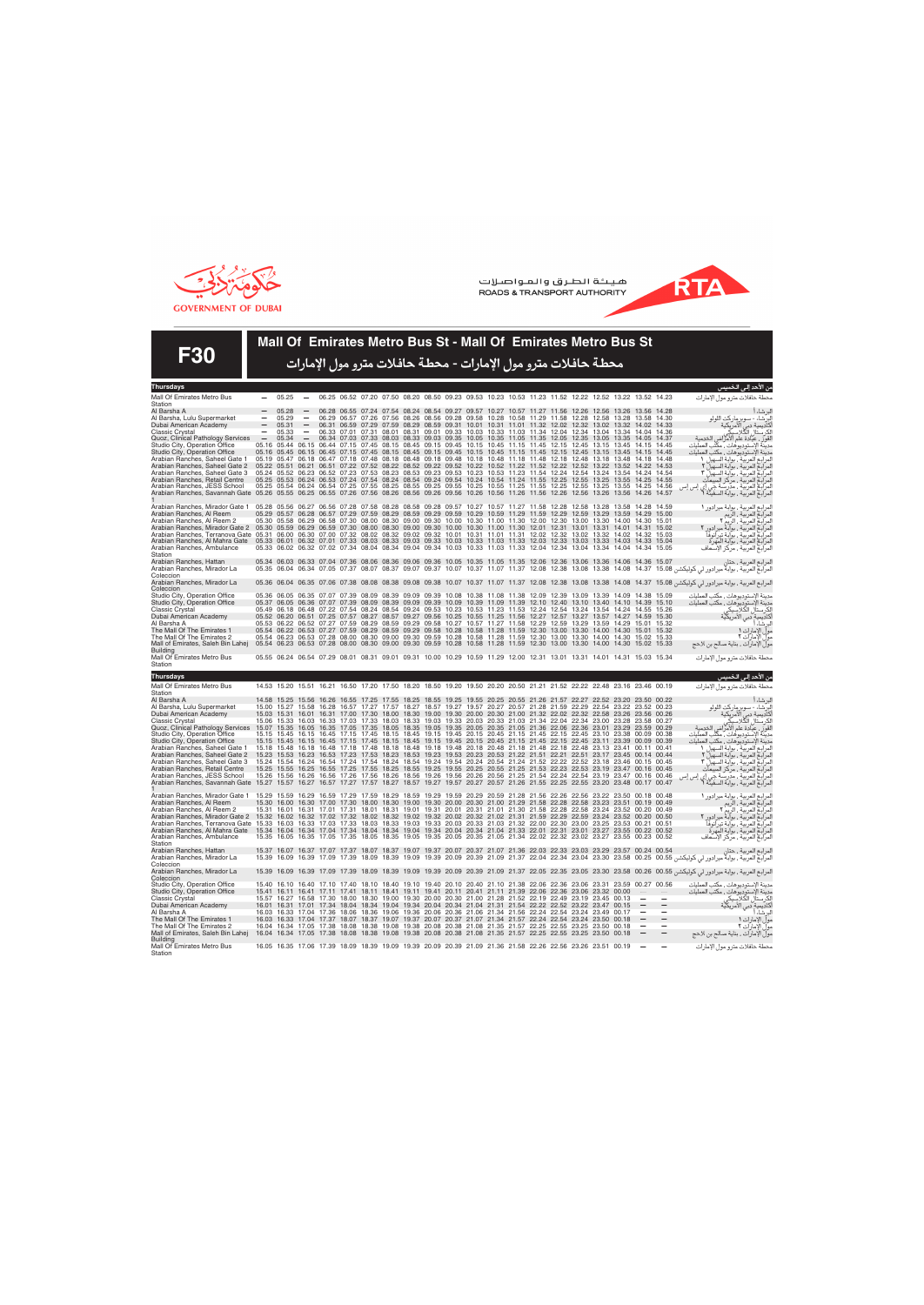



**F30**

## **Mall Of Emirates Metro Bus St - Mall Of Emirates Metro Bus St**

محطة حافلات مترو مول الإمارات - محطة حافلات مترو مول الإمارات

| Thursdays                                                                                                                                                                                       |       |                   |                          |                                                       |       |                   |             |                                                                                                                                                                                                                                                    |       |                   |                         |                |       |                         |                                              |             |                | من الاحد إلى الخميس                                                                                                                                                                                                            |
|-------------------------------------------------------------------------------------------------------------------------------------------------------------------------------------------------|-------|-------------------|--------------------------|-------------------------------------------------------|-------|-------------------|-------------|----------------------------------------------------------------------------------------------------------------------------------------------------------------------------------------------------------------------------------------------------|-------|-------------------|-------------------------|----------------|-------|-------------------------|----------------------------------------------|-------------|----------------|--------------------------------------------------------------------------------------------------------------------------------------------------------------------------------------------------------------------------------|
| Mall Of Emirates Metro Bus<br>Station                                                                                                                                                           |       | 05.25             |                          |                                                       |       |                   |             | 06.25 06.52 07.20 07.50 08.20 08.50 09.23 09.53 10.23 10.53 11.23 11.52 12.22 12.52 13.22 13.52 14.23                                                                                                                                              |       |                   |                         |                |       |                         |                                              |             |                | محطة حافلات مترو مول الإمارات                                                                                                                                                                                                  |
| Al Barsha A                                                                                                                                                                                     |       | 05.28             |                          |                                                       |       |                   |             | 06.28 06.55 07.24 07.54 08.24 08.54 09.27 09.57 10.27 10.57 11.27 11.56                                                                                                                                                                            |       |                   |                         |                |       |                         | 12.26 12.56 13.26 13.56 14.28                |             |                |                                                                                                                                                                                                                                |
| Al Barsha, Lulu Supermarket                                                                                                                                                                     |       | 05.29             | $\overline{\phantom{a}}$ |                                                       |       |                   |             | 06.29 06.57 07.26 07.56 08.26 08.56 09.28 09.58                                                                                                                                                                                                    |       | 10.28 10.58 11.29 |                         | 11.58          |       | 12.28 12.58 13.28       |                                              | 13.58       | 14.30          | البرشاء أ<br>البرشاء - سوبرماركت اللولو                                                                                                                                                                                        |
| Dubai American Academy                                                                                                                                                                          |       | 05.31             |                          |                                                       |       |                   |             | 06.31 06.59 07.29 07.59 08.29 08.59 09.31 10.01 10.31 11.01 11.32 12.02 12.32 13.02 13.32 14.02 14.33                                                                                                                                              |       |                   |                         |                |       |                         |                                              |             |                | كاديمية دبي الأمريكية<br>الكرستال الكلاسيكي                                                                                                                                                                                    |
| <b>Classic Crystal</b><br>Quoz, Clinical Pathology Services                                                                                                                                     |       | 05.33<br>05.34    |                          |                                                       |       |                   |             | 06.33 07.01 07.31 08.01 08.31 09.01 09.33 10.03 10.33 11.03 11.34 12.04 12.34 13.04 13.34 14.04<br>06.34 07.03 07.33 08.03 08.33 09.03 09.35 10.05 10.35 11.05 11.35 12.05 12.35 13.05 13.35 14.05 14.37                                           |       |                   |                         |                |       |                         |                                              |             | 14.36          | لقورٌ ، عيادة علم الأمرَّاض                                                                                                                                                                                                    |
| Studio City, Operation Office                                                                                                                                                                   |       |                   | 05.16 05.44 06.15        |                                                       |       |                   |             | 06.44 07.15 07.45 08.15 08.45 09.15 09.45 10.15                                                                                                                                                                                                    |       | 10.45 11.15 11.45 |                         | 12.15          |       |                         | 12.45 13.15 13.45 14.15                      |             | 14.45          | مدينة الإستوديوهات ، مكّتب العمليات                                                                                                                                                                                            |
| Studio City, Operation Office                                                                                                                                                                   |       |                   |                          |                                                       |       |                   |             | 05.16 05.45 06.15 06.45 07.15 07.45 08.15 08.45 09.15 09.45 10.15 10.45 11.15 11.45 12.15 12.45 13.15 13.45 14.15 14.45                                                                                                                            |       |                   |                         |                |       |                         |                                              |             |                | مدينة الإستوديوهات , مكتب العمليات                                                                                                                                                                                             |
| Arabian Ranches, Saheel Gate 1                                                                                                                                                                  |       |                   |                          |                                                       |       |                   |             | 05.19 05.47 06.18 06.47 07.18 07.48 08.18 08.48 09.18 09.48 10.18                                                                                                                                                                                  |       |                   | 10.48 11.18 11.48 12.18 |                |       |                         | 12.48 13.18 13.48 14.18                      |             | 14.48          |                                                                                                                                                                                                                                |
| Arabian Ranches, Saheel Gate 2<br>Arabian Ranches, Saheel Gate 3                                                                                                                                |       |                   |                          |                                                       |       |                   |             | 05.22 05.51 06.21 06.51 07.22 07.52 08.22 08.52 09.22 09.52 10.22 10.52 11.22 11.52 12.52 12.52 13.22 13.52 14.22 14.53<br>05.24 05.52 06.23 06.52 07.23 07.53 08.23 08.53 09.23 09.53 10.23 10.53 11.23 11.54 12.24                               |       |                   |                         |                |       |                         | 12.54 13.24 13.54 14.24 14.54                |             |                |                                                                                                                                                                                                                                |
| Arabian Ranches, Retail Centre                                                                                                                                                                  |       |                   |                          |                                                       |       |                   |             | 05.25 05.53 06.24 06.53 07.24 07.54 08.24 08.54 09.24 09.54 10.24 10.54 11.24 11.55                                                                                                                                                                |       |                   |                         | 12.25          | 12.55 | 13.25                   | 13.55 14.25 14.55                            |             |                |                                                                                                                                                                                                                                |
| Arabian Ranches, JESS School                                                                                                                                                                    |       |                   |                          |                                                       |       |                   |             | 05.25 05.54 06.24 06.54 07.25 07.55 08.25 08.55 09.25 09.55 10.25 10.55 11.25 11.55 12.25 12.55 13.25 13.55 14.25 14.56                                                                                                                            |       |                   |                         |                |       |                         |                                              |             |                |                                                                                                                                                                                                                                |
| Arabian Ranches, Savannah Gate 05.26 05.55 06.25 06.55 07.26 07.56 08.26 08.56 09.26                                                                                                            |       |                   |                          |                                                       |       |                   |             | 09.56 10.26                                                                                                                                                                                                                                        |       |                   | 10.56 11.26 11.56 12.26 |                | 12.56 |                         | 13.26 13.56 14.26                            |             | 14.57          | مديسة اوستوريومنت ، هندب العمليات<br>المراجع العربية ، بوابة السهيل ٢<br>لمرابع العربية ، بوابة السهيل ٢<br>المراجع العربية ، بوابة السهيل ٣<br>لمرابع العربية ، مردسة جي إي إس إس<br>لمرابع العربية ، مردسة جي إي إس إس       |
| Arabian Ranches, Mirador Gate 1                                                                                                                                                                 |       |                   |                          |                                                       |       |                   |             | 05.28 05.56 06.27 06.56 07.28 07.58 08.28 08.58 09.28 09.57 10.27 10.57 11.27 11.58                                                                                                                                                                |       |                   |                         | 12.28          |       | 12.58 13.28 13.58       |                                              | 14 28 14 59 |                | لمرابع العربية ، بوابة ميرادور ١<br>لمرابع العربية ، الريم<br>لمرابع العربية ، الريم ؟<br>لمرابع العربية ، بوابة تيرانوفا<br>لمرابع العربية ، بوابة المهرة<br>لمرابع العربية ، برابة المهرة                                    |
| Arabian Ranches, Al Reem                                                                                                                                                                        |       |                   |                          | 05.30 05.58 06.29 06.58 07.30 08.00                   |       | 08.30 09.00 09.30 |             | 05.29 05.57 06.28 06.57 07.29 07.59 08.29 08.59 09.29 09.59 10.29 10.59 11.29 11.59<br>10.00 10.30                                                                                                                                                 |       |                   | 11.00 11.30 12.00       | 12.29<br>12.30 | 12.59 | 13.29 13.59             | 13.00 13.30 14.00 14.30                      | 14.29       | 15.00<br>15.01 |                                                                                                                                                                                                                                |
| Arabian Ranches, Al Reem 2<br>Arabian Ranches, Mirador Gate 2 05.30 05.59 06.29 06.59 07.30 08.00 08.30 09.00 09.30 10.00 10.30 11.00 11.30 12.01 12.31 13.01 13.31 14.01 14.31 15.02           |       |                   |                          |                                                       |       |                   |             |                                                                                                                                                                                                                                                    |       |                   |                         |                |       |                         |                                              |             |                |                                                                                                                                                                                                                                |
| Arabian Ranches, Terranova Gate 05.31 06.00 06.30 07.00 07.32 08.02 08.32 09.02 09.32 10.01 10.31 11.01 11.31 12.02 12.32                                                                       |       |                   |                          |                                                       |       |                   |             |                                                                                                                                                                                                                                                    |       |                   |                         |                |       |                         | 13.02 13.32 14.02 14.32 15.03                |             |                |                                                                                                                                                                                                                                |
| Arabian Ranches, Al Mahra Gate 05.33 06.01 06.32 07.01 07.33 08.03 08.33 09.03 09.33 10.03 10.33 11.03 11.03 12.03 12.03 13.03 13.03 13.03 14.03 14.03 15.04                                    |       |                   |                          |                                                       |       |                   |             |                                                                                                                                                                                                                                                    |       |                   |                         |                |       |                         |                                              |             |                |                                                                                                                                                                                                                                |
| Arabian Ranches, Ambulance<br>Station                                                                                                                                                           |       |                   |                          |                                                       |       |                   |             | 05.33 06.02 06.32 07.02 07.34 08.04 08.34 09.04 09.34 10.03 10.33 11.03 11.33 12.04 12.34                                                                                                                                                          |       |                   |                         |                |       |                         | 13.04 13.34 14.04 14.34 15.05                |             |                |                                                                                                                                                                                                                                |
| Arabian Ranches, Hattan                                                                                                                                                                         |       |                   |                          |                                                       |       |                   |             | 05.34 06.03 06.33 07.04 07.36 08.06 08.36 09.06 09.36 10.05 10.35 11.05 11.35 12.06 12.36 13.06 13.36 14.06 14.36 15.07                                                                                                                            |       |                   |                         |                |       |                         |                                              |             |                |                                                                                                                                                                                                                                |
| Arabian Ranches, Mirador La                                                                                                                                                                     |       |                   |                          |                                                       |       |                   |             |                                                                                                                                                                                                                                                    |       |                   |                         |                |       |                         |                                              |             |                |                                                                                                                                                                                                                                |
| Coleccion<br>Arabian Ranches, Mirador La                                                                                                                                                        |       |                   |                          |                                                       |       |                   |             |                                                                                                                                                                                                                                                    |       |                   |                         |                |       |                         |                                              |             |                |                                                                                                                                                                                                                                |
| Coleccion                                                                                                                                                                                       |       |                   |                          |                                                       |       |                   |             |                                                                                                                                                                                                                                                    |       |                   |                         |                |       |                         |                                              |             |                | لمرابيع العربية، بوابة ميرادور لي كوليكشن 14.08 14.38 14.08 13.38 14.08 12.38 14.08 14.37 15.08 06.04 06.35 07.06 07.38 08.08 08.38 09.08 09.38 10.07 11.37 11.07 11.37 12.08 12.38 14.08 14.37 15.08 15.36 06.04 لدرابي كوليك |
| Studio City, Operation Office                                                                                                                                                                   |       |                   |                          | 05.36 06.05 06.35 07.07 07.39 08.09                   |       | 08.39 09.09 09.39 |             | 10.08 10.38<br>05.37 06.05 06.36 07.07 07.39 08.09 08.39 09.09 09.39 10.09 10.39 11.09 11.39                                                                                                                                                       |       | 11.08 11.38       | 12.09<br>12.10 12.40    | 12.39          | 13.09 | 13.39                   | 14.09                                        | 14.38       | 15.09          | مدينة الإستوديوهات ، مكتب العمليات                                                                                                                                                                                             |
| Studio City, Operation Office<br>Classic Crystal                                                                                                                                                |       | 05.49 06.18 06.48 |                          | 07.22 07.54 08.24 08.54                               |       |                   | 09.24 09.53 | 10.23                                                                                                                                                                                                                                              | 10.53 | 11.23 11.53       | 12.24                   | 12.54          | 13.24 | 13.54                   | 13.10 13.40 14.10 14.39 15.10<br>14.24 14.55 |             | 15.26          | مدينة الإستوديوهات ، مكتب العمليات<br>الكرستال الكلابس <u>كي</u><br>إلكرستال الكلابس <u>كي</u>                                                                                                                                 |
| Dubai American Academy                                                                                                                                                                          |       |                   |                          | 05.52 06.20 06.51 07.25 07.57 08.27 08.57 09.27 09.56 |       |                   |             | 10.25 10.55 11.25 11.56 12.27 12.57                                                                                                                                                                                                                |       |                   |                         |                |       |                         | 13.27 13.57 14.27 14.59 15.30                |             |                | .<br>أكاديمية دبي الأمريكية                                                                                                                                                                                                    |
| Al Barsha A                                                                                                                                                                                     |       |                   |                          | 05.53 06.22 06.52 07.27 07.59 08.29 08.59 09.29 09.58 |       |                   |             | 10.27 10.57 11.27 11.58 12.29                                                                                                                                                                                                                      |       |                   |                         | 12.59          |       |                         | 13.29 13.59 14.29 15.01 15.32                |             |                | لبرشاء أ                                                                                                                                                                                                                       |
| The Mall Of The Emirates 1                                                                                                                                                                      |       |                   |                          |                                                       |       |                   |             | 05.54 06.22 06.53 07.27 07.59 08.29 08.59 09.29 09.58 10.28 10.58 11.28 11.59 12.30 13.00 13.30 14.00 14.30 15.01 15.32                                                                                                                            |       |                   |                         |                |       |                         |                                              |             |                | مولّ الإمارات ١                                                                                                                                                                                                                |
| The Mall Of The Emirates 2<br>Mall of Emirates, Saleh Bin Lahej                                                                                                                                 |       |                   |                          | 05.54 06.23 06.53 07.28 08.00 08.30 09.00 09.30 09.59 |       |                   |             | 05.54 06.23 06.53 07.28 08.00 08.30 09.00 09.30 09.59 10.28 10.58 11.28 11.59 12.30 13.00<br>10.28 10.58                                                                                                                                           |       | 11.28 11.59       | 12.30                   | 13.00          | 13.30 | 14.00                   | 13.30 14.00 14.30 15.02<br>14.30             | 15.02       | 15.33<br>15.33 | مول الأمارات ٢<br>مول الإمارات ٢<br>مول الإمارات . بناية صالح بن لاحج                                                                                                                                                          |
| Buildina                                                                                                                                                                                        |       |                   |                          |                                                       |       |                   |             |                                                                                                                                                                                                                                                    |       |                   |                         |                |       |                         |                                              |             |                |                                                                                                                                                                                                                                |
| Mall Of Emirates Metro Bus<br>Station                                                                                                                                                           |       |                   |                          |                                                       |       |                   |             | 05.55 06.24 06.54 07.29 08.01 08.31 09.01 09.31 10.00 10.29 10.59 11.29 12.00 12.31 13.01 13.31 14.01 14.31 15.03 15.34                                                                                                                            |       |                   |                         |                |       |                         |                                              |             |                | محطة حافلات مترو مول الإمارات                                                                                                                                                                                                  |
| <b>Thursdays</b>                                                                                                                                                                                |       |                   |                          |                                                       |       |                   |             |                                                                                                                                                                                                                                                    |       |                   |                         |                |       |                         |                                              |             |                | من الأحد إل <i>ى</i> الخميس                                                                                                                                                                                                    |
|                                                                                                                                                                                                 |       |                   |                          |                                                       |       |                   |             |                                                                                                                                                                                                                                                    |       |                   |                         |                |       |                         |                                              |             |                |                                                                                                                                                                                                                                |
|                                                                                                                                                                                                 |       |                   |                          |                                                       |       |                   |             |                                                                                                                                                                                                                                                    |       |                   |                         |                |       |                         |                                              |             |                |                                                                                                                                                                                                                                |
| Mall Of Emirates Metro Bus                                                                                                                                                                      |       |                   |                          |                                                       |       |                   |             | 14.53 15.20 15.51 16.21 16.50 17.20 17.50 18.20 18.50 19.20 19.50 20.20 20.50 21.21 21.52 22.22 22.48 23.16 23.46 00.19                                                                                                                            |       |                   |                         |                |       |                         |                                              |             |                | محطة حافلات مترو مول الإمارات                                                                                                                                                                                                  |
| Station<br>Al Barsha A                                                                                                                                                                          |       |                   |                          |                                                       |       |                   |             | 14 58 15 25 15 56 16 26 16 55 17 25 17 55 18 25 18 55 19 25 19 55 20 25 20 55 21 26 21 57 22 27 22 52 23 20 23 50 00 22                                                                                                                            |       |                   |                         |                |       |                         |                                              |             |                |                                                                                                                                                                                                                                |
| Al Barsha, Lulu Supermarket                                                                                                                                                                     |       |                   |                          |                                                       |       |                   |             | 15.00 15.27 15.58 16.28 16.57 17.27 17.57 18.27 18.57 19.27 19.57 20.27 20.57 21.28 21.59 22.29 22.54 23.22 23.52 00.23                                                                                                                            |       |                   |                         |                |       |                         |                                              |             |                | لبرشاءا                                                                                                                                                                                                                        |
| Dubai American Academy                                                                                                                                                                          |       |                   |                          |                                                       |       |                   |             | 15.03 15.31 16.01 16.31 17.00 17.30 18.00 18.30 19.00 19.30 20.00 20.30 21.00 21.32 22.02 22.32 22.58 23.26 23.56 00.26                                                                                                                            |       |                   |                         |                |       |                         |                                              |             |                |                                                                                                                                                                                                                                |
| Classic Crystal                                                                                                                                                                                 |       |                   |                          |                                                       |       |                   |             | 15.06 15.33 16.03 16.33 17.03 17.33 18.03 18.33 19.03 19.33 20.03 20.33 21.03 21.34 22.04 22.34 23.00 23.28 23.58 00.27                                                                                                                            |       |                   |                         |                |       |                         |                                              |             |                | سرسد"<br>البرشاء - سوبر ماركت اللولو<br>أكاديمية دبي الأمريكية<br>الكرستال الكلاسيكي                                                                                                                                           |
| Quoz, Clinical Pathology Services                                                                                                                                                               |       |                   |                          |                                                       |       |                   |             | 15.07 15.35 16.05 16.35 17.05 17.35 18.05 18.35 19.05 19.35 20.05 20.35 21.05 21.36 22.06 22.36 23.01 23.29 23.59 00.29<br>15.15 15.45 16.15 16.45 17.15 17.45 18.15 18.45 19.15 19.45 20.15 20.45 21.15 21.45 22.15 22.45 23.10 23.38 00.09 00.38 |       |                   |                         |                |       |                         |                                              |             |                | لقورٌ ، عيادة علم الأمراض الخدمية                                                                                                                                                                                              |
| Studio City, Operation Office<br>Studio City, Operation Office                                                                                                                                  |       |                   |                          |                                                       |       |                   |             | 15.15 15.45 16.15 16.45 17.15 17.45 18.15 18.45 19.15 19.45 20.15 20.45 21.15 21.45 22.15 22.45 23.11 23.39 00.09 00.39                                                                                                                            |       |                   |                         |                |       |                         |                                              |             |                | مدينة الإستوديوهات ، مكّتب العمليات<br>مدينة الإستوديوهات , مكتب العمليات                                                                                                                                                      |
| Arabian Ranches, Saheel Gate 1                                                                                                                                                                  |       |                   |                          |                                                       |       |                   |             | 15.18 15.48 16.18 16.48 17.18 17.48 18.18 18.48 19.18 19.48 20.18 20.48 21.18 21.48 22.18 22.48 23.13 23.41 00.11 00.41                                                                                                                            |       |                   |                         |                |       |                         |                                              |             |                |                                                                                                                                                                                                                                |
| Arabian Ranches, Saheel Gate 2                                                                                                                                                                  |       |                   |                          | 15.23 15.53 16.23 16.53 17.23 17.53 18.23             |       |                   | 18.53 19.23 | 19.53 20.23 20.53 21.22 21.51 22.21 22.51 23.17 23.45 00.14 00.44                                                                                                                                                                                  |       |                   |                         |                |       |                         |                                              |             |                |                                                                                                                                                                                                                                |
| Arabian Ranches, Saheel Gate 3                                                                                                                                                                  |       |                   |                          | 15.24 15.54 16.24 16.54 17.24 17.54 18.24             |       |                   | 18.54 19.24 | 19.54 20.24 20.54 21.24 21.52 22.22 22.52 23.18 23.46 00.15 00.45<br>15.25 15.55 16.25 16.55 17.25 17.55 18.25 18.55 19.25 19.55 20.25 20.55 21.25 21.53 22.23 22.53 23.19 23.47 00.16 00.45                                                       |       |                   |                         |                |       |                         |                                              |             |                |                                                                                                                                                                                                                                |
| Arabian Ranches, Retail Centre<br>Arabian Ranches, JESS School                                                                                                                                  | 15.26 |                   | 15.56 16.26              | 16.56 17.26 17.56                                     |       | 18.26             | 18.56 19.26 | 19.56 20.26 20.56 21.25 21.54 22.24 22.54                                                                                                                                                                                                          |       |                   |                         |                |       |                         | 23.19 23.47 00.16 00.46                      |             |                |                                                                                                                                                                                                                                |
| Arabian Ranches, Savannah Gate 15.27                                                                                                                                                            |       |                   | 15.57 16.27              | 16.57 17.27 17.57 18.27                               |       |                   | 18.57 19.27 | 19.57 20.27 20.57 21.26 21.55 22.25 22.55 23.20 23.48 00.17 00.47                                                                                                                                                                                  |       |                   |                         |                |       |                         |                                              |             |                |                                                                                                                                                                                                                                |
| Arabian Ranches, Mirador Gate 1                                                                                                                                                                 |       |                   |                          |                                                       |       |                   |             | 15.29 15.59 16.29 16.59 17.29 17.59 18.29 18.59 19.29 19.59 20.29 20.59 21.28 21.56 22.26 22.56 23.22 23.50 00.18 00.48                                                                                                                            |       |                   |                         |                |       |                         |                                              |             |                | هند» إمسوفرومست، منسب اعتصب<br>ما المراجع العربية ، بواية السهيل 1<br>لمرابع العربية ، بواية السهيل ٢<br>لمرابع العربية ، مركز المبيعات<br>المرابع العربية ، مرتسة جي إي إس إس<br>لمرابع العربية ، مرتسة جي إي إس إس           |
| Arabian Ranches, Al Reem                                                                                                                                                                        |       |                   |                          |                                                       |       |                   |             | 15.30 16.00 16.30 17.00 17.30 18.00 18.30 19.00 19.30 20.00 20.30 21.00 21.29 21.58 22.28 22.58 23.23 23.51 00.19 00.49                                                                                                                            |       |                   |                         |                |       |                         |                                              |             |                |                                                                                                                                                                                                                                |
| Arabian Ranches, Al Reem 2                                                                                                                                                                      |       |                   |                          | 15.31 16.01 16.31 17.01 17.31 18.01                   |       |                   |             | 18.31 19.01 19.31 20.01 20.31 21.01 21.30 21.58                                                                                                                                                                                                    |       |                   |                         | 22.28          |       |                         | 22.58 23.24 23.52 00.20 00.49                |             |                |                                                                                                                                                                                                                                |
| Arabian Ranches, Mirador Gate 2 15.32 16.02 16.32 17.02 17.32 18.02 18.32 19.02 19.32 20.02 20.32 21.02 21.31 21.59 22.29 22.59 23.24 23.52 00.20 00.50                                         |       |                   |                          |                                                       |       |                   |             |                                                                                                                                                                                                                                                    |       |                   |                         |                |       |                         |                                              |             |                |                                                                                                                                                                                                                                |
| Arabian Ranches, Terranova Gate 15.33<br>Arabian Ranches, Al Mahra Gate 15.34 16.04 16.34 17.04 17.34 18.04 18.34 19.04 19.34 20.04 20.34 21.04 21.33 22.01 22.31 23.01 23.27 23.55 00.22 00.52 |       |                   | 16.03 16.33              | 17.03 17.33                                           | 18.03 | 18.33             |             | 19.03 19.33 20.03 20.33 21.03 21.32 22.00 22.30                                                                                                                                                                                                    |       |                   |                         |                |       |                         | 23.00 23.25 23.53 00.21 00.51                |             |                |                                                                                                                                                                                                                                |
| Arabian Ranches, Ambulance                                                                                                                                                                      |       |                   |                          |                                                       |       |                   |             | 15.35 16.05 16.35 17.05 17.35 18.05 18.35 19.05 19.35 20.05 20.35 21.05 21.34 22.02 22.32 23.02 23.27 23.55 00.23 00.52                                                                                                                            |       |                   |                         |                |       |                         |                                              |             |                |                                                                                                                                                                                                                                |
| Station                                                                                                                                                                                         |       |                   |                          |                                                       |       |                   |             |                                                                                                                                                                                                                                                    |       |                   |                         |                |       |                         |                                              |             |                | لمرابع العربية ، بوابة ميرادور ١<br>لمرابع العربية ، الربم<br>لمرابع العربية ، الربم ؟<br>لمرابع العربية ، بوابة تيرانوفا<br>لمرابع العربية ، بوابة المهرة<br>لمرابع العربية ، بوابة المهرة                                    |
| Arabian Ranches, Hattan                                                                                                                                                                         |       |                   |                          |                                                       |       |                   |             | 15.37 16.07 16.37 17.07 17.37 18.07 18.37 19.07 19.37 20.07 20.37 21.07 21.36 22.03 22.33 23.03 23.29 23.57 00.24 00.54                                                                                                                            |       |                   |                         |                |       |                         |                                              |             |                |                                                                                                                                                                                                                                |
| Arabian Ranches, Mirador La<br>Coleccion                                                                                                                                                        | 15.39 |                   |                          |                                                       |       |                   |             |                                                                                                                                                                                                                                                    |       |                   |                         |                |       |                         |                                              |             |                |                                                                                                                                                                                                                                |
| Arabian Ranches, Mirador La                                                                                                                                                                     |       |                   |                          |                                                       |       |                   |             |                                                                                                                                                                                                                                                    |       |                   |                         |                |       |                         |                                              |             |                | لمرابع العربية ، بوابة ميرادور لي كوليكشن 16.05   23.30   23.30   23.35   23.36   23.36   16.39   17.09   17.09   18.39   18.39   19.09   19.39   20.09   21.37   22.05   23.35   23.36   23.30   23.58   00.26   00.56   شراب |
| Coleccion                                                                                                                                                                                       |       |                   |                          |                                                       |       |                   |             |                                                                                                                                                                                                                                                    |       |                   |                         |                |       |                         |                                              |             |                |                                                                                                                                                                                                                                |
| Studio City, Operation Office<br>Studio City, Operation Office                                                                                                                                  |       |                   |                          |                                                       |       |                   |             | 15.40 16.10 16.40 17.10 17.40 18.10 18.40 19.10 19.40 20.10 20.40 21.10 21.38 22.06 22.36 23.06 23.31 23.59 00.27 00.56<br>15.41 16.11 16.41 17.11 17.41 18.11 18.41 19.11 19.41 20.11 20.41 21.11 21.39 22.06                                     |       |                   |                         | 22.36          | 23.06 | 23.32 00.00             |                                              |             |                | مدينة الإستوديوهات ، مكتب العمليات<br>مدينة الإستوديوهات ، مكتب العمليات                                                                                                                                                       |
| Classic Crystal                                                                                                                                                                                 |       |                   |                          |                                                       |       |                   |             | 15.57 16.27 16.58 17.30 18.00 18.30 19.00 19.30 20.00 20.30 21.00 21.28 21.52 22.19                                                                                                                                                                |       |                   |                         |                |       | 22 49 23 19 23 45 00 13 |                                              |             |                |                                                                                                                                                                                                                                |
| Dubai American Academy                                                                                                                                                                          |       |                   |                          |                                                       |       |                   |             | 16.01 16.31 17.01 17.34 18.04 18.34 19.04 19.34 20.04 20.34 21.04 21.31 21.54 22.22 22.52 23.22 23.47 00.15                                                                                                                                        |       |                   |                         |                |       |                         |                                              |             |                | يت<br>الكرستال الكلاسيكي<br>أكاديمية دبي الأمريكية                                                                                                                                                                             |
| Al Barsha A                                                                                                                                                                                     |       |                   |                          |                                                       |       |                   |             | 16.03 16.33 17.04 17.36 18.06 18.36 19.06 19.36 20.06 20.36 21.06 21.34 21.56 22.24 22.54 23.24 23.49 00.17                                                                                                                                        |       |                   |                         |                |       |                         |                                              |             |                | لبرشاء أ                                                                                                                                                                                                                       |
| The Mall Of The Emirates 1<br>The Mall Of The Emirates 2                                                                                                                                        |       |                   |                          |                                                       |       |                   |             | 16.03 16.33 17.04 17.37 18.07 18.37 19.07 19.37 20.07 20.37 21.07 21.34 21.57 22.24 22.54 23.24 23.50 00.18<br>16.04 16.34 17.05 17.38 18.08 18.38 19.08 19.38 20.08 20.38 21.08 21.35 21.57 22.25 22.55 23.25                                     |       |                   |                         |                |       | 23.50                   | 00.18                                        |             |                | مولِّ الإمارات ١                                                                                                                                                                                                               |
| Mall of Emirates, Saleh Bin Lahej                                                                                                                                                               |       |                   |                          |                                                       |       |                   |             | 16.04 16.34 17.05 17.38 18.08 18.38 19.08 19.38 20.08 20.38 21.08 21.35 21.57 22.25 22.55 23.25 23.50                                                                                                                                              |       |                   |                         |                |       |                         | 00.18                                        |             |                | مول الإمارات ٢<br>مول الإمارات ، بناية صالح بن لاحج                                                                                                                                                                            |
| Building<br>Mall Of Emirates Metro Bus<br>Station                                                                                                                                               |       |                   |                          |                                                       |       |                   |             | 16.05 16.35 17.06 17.39 18.09 18.39 19.09 19.39 20.09 20.39 21.09 21.36 21.58 22.26 22.56 23.26 23.51 00.19                                                                                                                                        |       |                   |                         |                |       |                         |                                              |             |                | محطة حافلات مترو مول الإمارات                                                                                                                                                                                                  |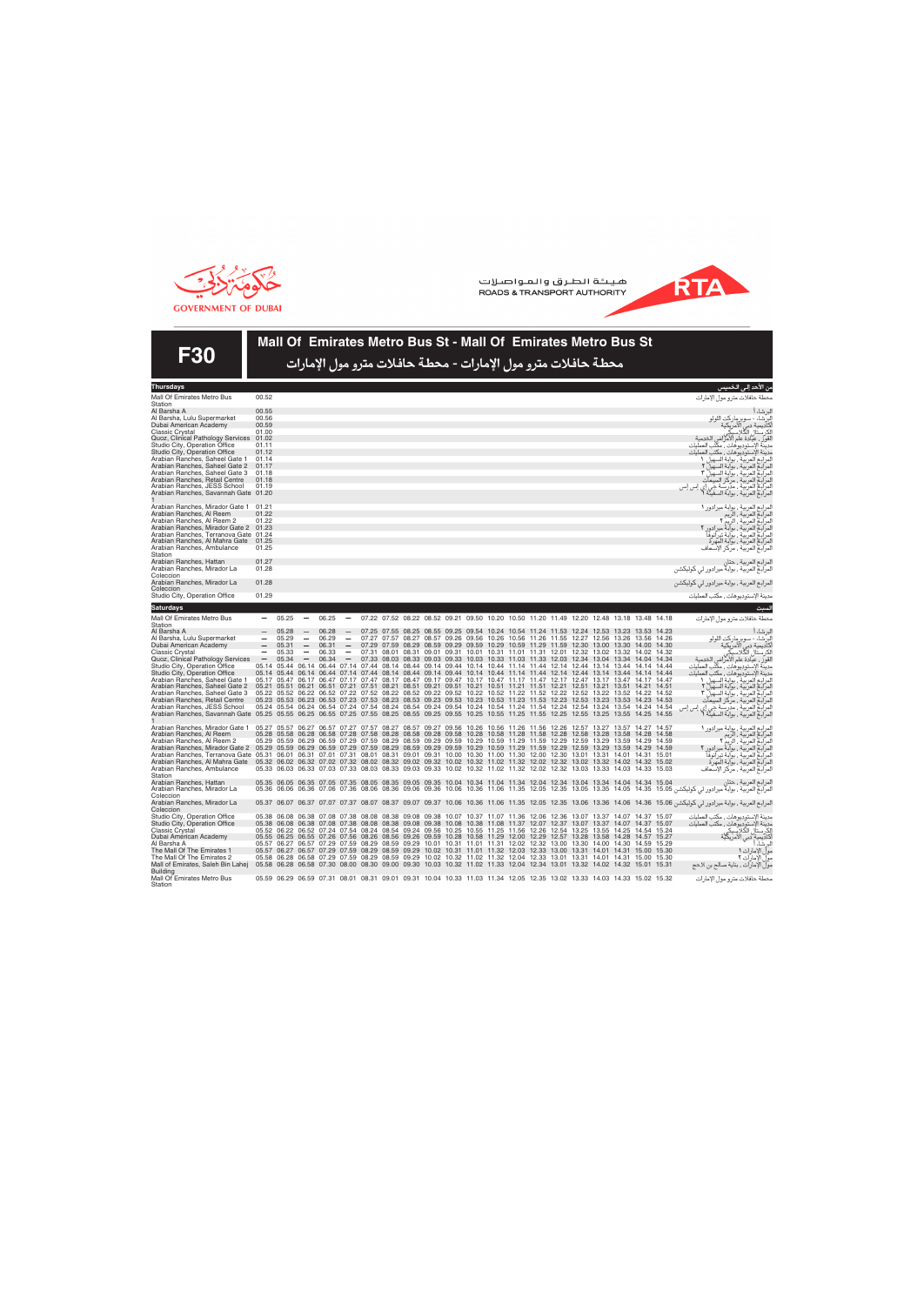



Mall Of Emirates Metro Bus St - Mall Of Emirates Metro Bus St محطة حافلات مترو مول الإمارات - محطة حافلات مترو مول الإمارات

**F30** 

| i ilui suays                                                                                                                                                    |                          |                                                                                                                                                                                                                                  |                          |       |                                                                                                                         |  |  |  |  |                                                                                           |  |  | ن الاحد إل <i>تى</i> الحمي <i>س</i>                                                                                                                                                                                                |
|-----------------------------------------------------------------------------------------------------------------------------------------------------------------|--------------------------|----------------------------------------------------------------------------------------------------------------------------------------------------------------------------------------------------------------------------------|--------------------------|-------|-------------------------------------------------------------------------------------------------------------------------|--|--|--|--|-------------------------------------------------------------------------------------------|--|--|------------------------------------------------------------------------------------------------------------------------------------------------------------------------------------------------------------------------------------|
| Mall Of Emirates Metro Bus<br>Station                                                                                                                           | 00.52                    |                                                                                                                                                                                                                                  |                          |       |                                                                                                                         |  |  |  |  |                                                                                           |  |  | حطة حافلات مترو مول الإمارات                                                                                                                                                                                                       |
| Al Barsha A                                                                                                                                                     | 00.55                    |                                                                                                                                                                                                                                  |                          |       |                                                                                                                         |  |  |  |  |                                                                                           |  |  |                                                                                                                                                                                                                                    |
|                                                                                                                                                                 |                          |                                                                                                                                                                                                                                  |                          |       |                                                                                                                         |  |  |  |  |                                                                                           |  |  | برشاءأ                                                                                                                                                                                                                             |
| Al Barsha, Lulu Supermarket                                                                                                                                     | 00.56                    |                                                                                                                                                                                                                                  |                          |       |                                                                                                                         |  |  |  |  |                                                                                           |  |  | برشاء - سوبر ماركت اللولو<br>ناديمية دبي الأمريكية<br>ناديمية دبي الأمريكية                                                                                                                                                        |
| Dubai American Academy                                                                                                                                          | 00.59                    |                                                                                                                                                                                                                                  |                          |       |                                                                                                                         |  |  |  |  |                                                                                           |  |  |                                                                                                                                                                                                                                    |
| Classic Crystal                                                                                                                                                 | 01.00                    |                                                                                                                                                                                                                                  |                          |       |                                                                                                                         |  |  |  |  |                                                                                           |  |  |                                                                                                                                                                                                                                    |
| Quoz, Clinical Pathology Services 01.02                                                                                                                         |                          |                                                                                                                                                                                                                                  |                          |       |                                                                                                                         |  |  |  |  |                                                                                           |  |  | قورٌ ، عيّادة علم الأمرّاض الخدمية                                                                                                                                                                                                 |
| Studio City, Operation Office                                                                                                                                   | 01.11                    |                                                                                                                                                                                                                                  |                          |       |                                                                                                                         |  |  |  |  |                                                                                           |  |  | دينة الإستوديوهات , مكتب العمليات                                                                                                                                                                                                  |
|                                                                                                                                                                 | 01.12                    |                                                                                                                                                                                                                                  |                          |       |                                                                                                                         |  |  |  |  |                                                                                           |  |  |                                                                                                                                                                                                                                    |
| Studio City, Operation Office                                                                                                                                   |                          |                                                                                                                                                                                                                                  |                          |       |                                                                                                                         |  |  |  |  |                                                                                           |  |  | دينة الإستوديوهات , مكتب العمليات                                                                                                                                                                                                  |
| Arabian Ranches, Saheel Gate 1                                                                                                                                  | 01.14                    |                                                                                                                                                                                                                                  |                          |       |                                                                                                                         |  |  |  |  |                                                                                           |  |  | يت اوستويروست. استب استبيا<br>مرابع العربية ، بوابة السهيل ٢<br>مرابع العربية ، بوابة السهيل ٢<br>مرابع العربية ، مركز المبيعات<br>مرابع العربية ، مركز المبيعات<br>مرابع العربية ، مركز المبيعات<br>مرابع العربية ، مرابة السفيلة |
| Arabian Ranches, Saheel Gate 2                                                                                                                                  | 01.17                    |                                                                                                                                                                                                                                  |                          |       |                                                                                                                         |  |  |  |  |                                                                                           |  |  |                                                                                                                                                                                                                                    |
| Arabian Ranches, Saheel Gate 3                                                                                                                                  | 01.18                    |                                                                                                                                                                                                                                  |                          |       |                                                                                                                         |  |  |  |  |                                                                                           |  |  |                                                                                                                                                                                                                                    |
| Arabian Ranches, Retail Centre                                                                                                                                  | 01.18                    |                                                                                                                                                                                                                                  |                          |       |                                                                                                                         |  |  |  |  |                                                                                           |  |  |                                                                                                                                                                                                                                    |
|                                                                                                                                                                 |                          |                                                                                                                                                                                                                                  |                          |       |                                                                                                                         |  |  |  |  |                                                                                           |  |  |                                                                                                                                                                                                                                    |
| Arabian Ranches, JESS School                                                                                                                                    | 01.19                    |                                                                                                                                                                                                                                  |                          |       |                                                                                                                         |  |  |  |  |                                                                                           |  |  |                                                                                                                                                                                                                                    |
| Arabian Ranches, Savannah Gate 01.20                                                                                                                            |                          |                                                                                                                                                                                                                                  |                          |       |                                                                                                                         |  |  |  |  |                                                                                           |  |  |                                                                                                                                                                                                                                    |
|                                                                                                                                                                 |                          |                                                                                                                                                                                                                                  |                          |       |                                                                                                                         |  |  |  |  |                                                                                           |  |  |                                                                                                                                                                                                                                    |
| Arabian Ranches, Mirador Gate 1                                                                                                                                 | 01.21                    |                                                                                                                                                                                                                                  |                          |       |                                                                                                                         |  |  |  |  |                                                                                           |  |  | مرابع العربية ، بوابة ميرادور ا<br>مرابع العربية ، الربم<br>مرابع العربية ، الربم r<br>مرابع العربية ، بوابة تيرانوفا<br>مرابع العربية ، بوابة المهرة<br>مرابع العربية ، مراكز الإسعاف                                             |
| Arabian Ranches, Al Reem                                                                                                                                        | 01.22                    |                                                                                                                                                                                                                                  |                          |       |                                                                                                                         |  |  |  |  |                                                                                           |  |  |                                                                                                                                                                                                                                    |
|                                                                                                                                                                 |                          |                                                                                                                                                                                                                                  |                          |       |                                                                                                                         |  |  |  |  |                                                                                           |  |  |                                                                                                                                                                                                                                    |
| Arabian Ranches, Al Reem 2                                                                                                                                      | 01.22                    |                                                                                                                                                                                                                                  |                          |       |                                                                                                                         |  |  |  |  |                                                                                           |  |  |                                                                                                                                                                                                                                    |
| Arabian Ranches, Mirador Gate 2 01.23                                                                                                                           |                          |                                                                                                                                                                                                                                  |                          |       |                                                                                                                         |  |  |  |  |                                                                                           |  |  |                                                                                                                                                                                                                                    |
| Arabian Ranches, Terranova Gate 01.24                                                                                                                           |                          |                                                                                                                                                                                                                                  |                          |       |                                                                                                                         |  |  |  |  |                                                                                           |  |  |                                                                                                                                                                                                                                    |
| Arabian Ranches, Al Mahra Gate 01.25                                                                                                                            |                          |                                                                                                                                                                                                                                  |                          |       |                                                                                                                         |  |  |  |  |                                                                                           |  |  |                                                                                                                                                                                                                                    |
| Arabian Ranches, Ambulance                                                                                                                                      | 01.25                    |                                                                                                                                                                                                                                  |                          |       |                                                                                                                         |  |  |  |  |                                                                                           |  |  |                                                                                                                                                                                                                                    |
|                                                                                                                                                                 |                          |                                                                                                                                                                                                                                  |                          |       |                                                                                                                         |  |  |  |  |                                                                                           |  |  |                                                                                                                                                                                                                                    |
| Station                                                                                                                                                         |                          |                                                                                                                                                                                                                                  |                          |       |                                                                                                                         |  |  |  |  |                                                                                           |  |  |                                                                                                                                                                                                                                    |
| Arabian Ranches, Hattan                                                                                                                                         | 01.27                    |                                                                                                                                                                                                                                  |                          |       |                                                                                                                         |  |  |  |  |                                                                                           |  |  | مرابع العربية ، حتان<br>مرابع العربية ، بوابة ميرادور لي كوليكشن                                                                                                                                                                   |
| Arabian Ranches, Mirador La                                                                                                                                     | 01.28                    |                                                                                                                                                                                                                                  |                          |       |                                                                                                                         |  |  |  |  |                                                                                           |  |  |                                                                                                                                                                                                                                    |
| Coleccion                                                                                                                                                       |                          |                                                                                                                                                                                                                                  |                          |       |                                                                                                                         |  |  |  |  |                                                                                           |  |  |                                                                                                                                                                                                                                    |
|                                                                                                                                                                 |                          |                                                                                                                                                                                                                                  |                          |       |                                                                                                                         |  |  |  |  |                                                                                           |  |  |                                                                                                                                                                                                                                    |
| Arabian Ranches, Mirador La                                                                                                                                     | 01.28                    |                                                                                                                                                                                                                                  |                          |       |                                                                                                                         |  |  |  |  |                                                                                           |  |  | مرابع العربية ، بوابة ميرادور لي كوليكشن                                                                                                                                                                                           |
| Coleccion                                                                                                                                                       |                          |                                                                                                                                                                                                                                  |                          |       |                                                                                                                         |  |  |  |  |                                                                                           |  |  |                                                                                                                                                                                                                                    |
| Studio City, Operation Office                                                                                                                                   | 01.29                    |                                                                                                                                                                                                                                  |                          |       |                                                                                                                         |  |  |  |  |                                                                                           |  |  | دينة الإستوديوهات ، مكتب العمليات                                                                                                                                                                                                  |
|                                                                                                                                                                 |                          |                                                                                                                                                                                                                                  |                          |       |                                                                                                                         |  |  |  |  |                                                                                           |  |  |                                                                                                                                                                                                                                    |
| <b>Saturdays</b>                                                                                                                                                |                          |                                                                                                                                                                                                                                  |                          |       |                                                                                                                         |  |  |  |  |                                                                                           |  |  | سبت                                                                                                                                                                                                                                |
|                                                                                                                                                                 |                          |                                                                                                                                                                                                                                  | $\overline{\phantom{m}}$ |       |                                                                                                                         |  |  |  |  |                                                                                           |  |  |                                                                                                                                                                                                                                    |
| Mall Of Emirates Metro Bus                                                                                                                                      |                          | 05.25                                                                                                                                                                                                                            |                          | 06.25 |                                                                                                                         |  |  |  |  | 07.22 07.52 08.22 08.52 09.21 09.50 10.20 10.50 11.20 11.49 12.20 12.48 13.18 13.48 14.18 |  |  | حطة حافلات مترو مول الإمارات                                                                                                                                                                                                       |
| Station                                                                                                                                                         |                          |                                                                                                                                                                                                                                  |                          |       |                                                                                                                         |  |  |  |  |                                                                                           |  |  |                                                                                                                                                                                                                                    |
| Al Barsha A                                                                                                                                                     | $\qquad \qquad - \qquad$ | 05.28                                                                                                                                                                                                                            | $\overline{\phantom{m}}$ | 06.28 | $\overline{\phantom{m}}$                                                                                                |  |  |  |  | 07.25 07.55 08.25 08.55 09.25 09.54 10.24 10.54 11.24 11.53 12.24 12.53 13.23 13.53 14.23 |  |  | برشاء أ                                                                                                                                                                                                                            |
| Al Barsha, Lulu Supermarket                                                                                                                                     | $\overline{\phantom{0}}$ | 05.29                                                                                                                                                                                                                            | $\overline{\phantom{a}}$ | 06.29 | $\overline{\phantom{m}}$                                                                                                |  |  |  |  | 07.27 07.57 08.27 08.57 09.26 09.56 10.26 10.56 11.26 11.55 12.27 12.56 13.26 13.56 14.26 |  |  |                                                                                                                                                                                                                                    |
|                                                                                                                                                                 |                          | 05.31                                                                                                                                                                                                                            | $\overline{\phantom{a}}$ | 06.31 | $\hspace{0.1mm}-\hspace{0.1mm}$                                                                                         |  |  |  |  | 07.29 07.59 08.29 08.59 09.29 09.59 10.29 10.59 11.29 11.59 12.30 13.00 13.30 14.00 14.30 |  |  | .<br>دائماء - سوبر ماركت اللولو<br>كاديمية دبي الأمريكية<br>كرستال الكلاسيكي                                                                                                                                                       |
| Dubai American Academy                                                                                                                                          | $\overline{\phantom{m}}$ |                                                                                                                                                                                                                                  |                          |       |                                                                                                                         |  |  |  |  |                                                                                           |  |  |                                                                                                                                                                                                                                    |
| Classic Crystal                                                                                                                                                 |                          | 05.33                                                                                                                                                                                                                            |                          | 06.33 | $\overline{\phantom{m}}$                                                                                                |  |  |  |  | 07.31 08.01 08.31 09.01 09.31 10.01 10.31 11.01 11.31 12.01 12.32 13.02 13.32 14.02 14.32 |  |  |                                                                                                                                                                                                                                    |
| Quoz, Clinical Pathology Services                                                                                                                               | $\overline{\phantom{m}}$ | 05.34                                                                                                                                                                                                                            |                          | 06.34 |                                                                                                                         |  |  |  |  | 07.33 08.03 08.33 09.03 09.33 10.03 10.33 11.03 11.33 12.03 12.34 13.04 13.34 14.04 14.34 |  |  | قور ، عيادة علم الأمراض الخدمية<br>قور ، عيادة علم الأمراض الحمليات                                                                                                                                                                |
| Studio City, Operation Office                                                                                                                                   |                          | 05.14 05.44 06.14 06.44 07.14 07.44 08.14 08.44 09.14 09.44 10.14 10.44 11.14 11.44 12.14 12.44 13.14 13.44 14.14 14.44                                                                                                          |                          |       |                                                                                                                         |  |  |  |  |                                                                                           |  |  |                                                                                                                                                                                                                                    |
| Studio City, Operation Office                                                                                                                                   |                          | 05.14 05.44 06.14 06.44 07.14 07.44 08.14 08.44 09.14 09.44 10.14 10.44 11.14 11.44 12.14 12.44 13.14 13.44 14.14 14.44                                                                                                          |                          |       |                                                                                                                         |  |  |  |  |                                                                                           |  |  | دينة الإستوديوهات ، مكتب العمليات                                                                                                                                                                                                  |
|                                                                                                                                                                 |                          |                                                                                                                                                                                                                                  |                          |       |                                                                                                                         |  |  |  |  |                                                                                           |  |  |                                                                                                                                                                                                                                    |
| Arabian Ranches, Saheel Gate 1                                                                                                                                  |                          | 05.17 05.47 06.17 06.47 07.17 07.47 08.17 08.47 09.17 09.47 10.17 10.47 11.17 11.47 12.17 12.47 13.17 13.47 14.17 14.47                                                                                                          |                          |       |                                                                                                                         |  |  |  |  |                                                                                           |  |  |                                                                                                                                                                                                                                    |
| Arabian Ranches, Saheel Gate 2                                                                                                                                  |                          | 05.21 05.51 06.21 06.51 07.21 07.51 08.21 08.51 09.21 09.51 10.21 10.51 11.21 11.51 12.21 12.51 13.21 13.51 14.21 14.51                                                                                                          |                          |       |                                                                                                                         |  |  |  |  |                                                                                           |  |  |                                                                                                                                                                                                                                    |
| Arabian Ranches, Saheel Gate 3                                                                                                                                  |                          | 05.22 05.52 06.22 06.52 07.22 07.52 08.22 08.52 09.22 09.52 10.22 10.52 11.22 11.52 12.22 12.52 13.52 13.52 14.22 14.52<br>05.23 05.53 06.23 06.53 07.23 07.53 08.23 08.53 09.23 09.53 10.23 10.53 11.23 11.53 12.23 12.53 13.23 |                          |       |                                                                                                                         |  |  |  |  |                                                                                           |  |  |                                                                                                                                                                                                                                    |
| Arabian Ranches, Retail Centre                                                                                                                                  |                          |                                                                                                                                                                                                                                  |                          |       |                                                                                                                         |  |  |  |  |                                                                                           |  |  |                                                                                                                                                                                                                                    |
| Arabian Ranches, JESS School                                                                                                                                    |                          | 05.24 05.54 06.24 06.54 07.24 07.54 08.24 08.54 09.24 09.54 10.24 10.54 11.24 11.54 12.24 12.54 13.24 13.54 14.24 14.54                                                                                                          |                          |       |                                                                                                                         |  |  |  |  |                                                                                           |  |  |                                                                                                                                                                                                                                    |
|                                                                                                                                                                 |                          |                                                                                                                                                                                                                                  |                          |       |                                                                                                                         |  |  |  |  |                                                                                           |  |  | إس إس                                                                                                                                                                                                                              |
| Arabian Ranches, Savannah Gate 05.25 05.55 06.25 06.55 07.25 07.55 08.25 08.55 09.25 09.55 10.25 10.55 11.25 11.55 12.25 12.25 13.25 13.25 14.25 14.25 14.55    |                          |                                                                                                                                                                                                                                  |                          |       |                                                                                                                         |  |  |  |  |                                                                                           |  |  | يتحد أوستوريونسا بمنطق العمليا<br>مرابع الصريق ، بولية السهيل ٧<br>مرابع العربية ، بولية السهيل ٢<br>مرابع العربية ، بولية السهيل<br>مرابع العربية ، مدرسة جي إي إ<br>مرابع العربية ، مدرسة جي إي إ                                |
|                                                                                                                                                                 |                          |                                                                                                                                                                                                                                  |                          |       |                                                                                                                         |  |  |  |  |                                                                                           |  |  |                                                                                                                                                                                                                                    |
| Arabian Ranches, Mirador Gate 1 05.27 05.57 06.27 06.57 07.27 07.57 08.27 08.57 09.27 09.56 10.26 10.56 11.26 11.56 12.26 12.26 12.57 13.27 13.57 14.27 14.57   |                          |                                                                                                                                                                                                                                  |                          |       |                                                                                                                         |  |  |  |  |                                                                                           |  |  |                                                                                                                                                                                                                                    |
| Arabian Ranches, Al Reem                                                                                                                                        |                          | 05.28 05.58 06.28 06.58 07.28 07.58 08.28 08.58 09.28 09.58 10.28 10.58 11.28 11.58 12.28 12.58 13.28 13.58 14.28 14.58                                                                                                          |                          |       |                                                                                                                         |  |  |  |  |                                                                                           |  |  |                                                                                                                                                                                                                                    |
| Arabian Ranches, Al Reem 2                                                                                                                                      |                          | 05.29 05.59 06.29 06.59 07.29 07.59 08.29 08.59 09.29 09.59 10.29 10.59 11.29 11.59 12.29 12.59 13.29 13.59 14.29 14.59                                                                                                          |                          |       |                                                                                                                         |  |  |  |  |                                                                                           |  |  |                                                                                                                                                                                                                                    |
|                                                                                                                                                                 |                          |                                                                                                                                                                                                                                  |                          |       |                                                                                                                         |  |  |  |  |                                                                                           |  |  |                                                                                                                                                                                                                                    |
| Arabian Ranches, Mirador Gate 2 05.29 05.59 06.29 06.59 07.29 07.59 08.29 08.59 09.29 09.59 10.29 10.59 11.29 11.59 12.29 12.59 13.29 13.59 14.29 14.59         |                          |                                                                                                                                                                                                                                  |                          |       |                                                                                                                         |  |  |  |  |                                                                                           |  |  |                                                                                                                                                                                                                                    |
| Arabian Ranches, Terranova Gate 05.31 06.01 06.31 07.01 07.31 08.01 08.31 09.01 09.31 10.00 10.30 11.00 11.30 12.00 12.30 13.01 13.31 14.01 14.31 15.01         |                          |                                                                                                                                                                                                                                  |                          |       |                                                                                                                         |  |  |  |  |                                                                                           |  |  |                                                                                                                                                                                                                                    |
| Arabian Ranches, Al Mahra Gate 05.32 06.02 06.32 07.02 07.32 08.02 08.32 09.02 09.32 10.02 10.32 11.02 11.32 12.02 12.32 13.02 13.32 14.02 14.32 15.02          |                          |                                                                                                                                                                                                                                  |                          |       |                                                                                                                         |  |  |  |  |                                                                                           |  |  | مرابع العربية ، بوابة ميرادور (<br>مرابع العربية ، الربم<br>مرابع العربية ، الربم ؟<br>مرابع العربية ، بوابة تيرانوفا<br>مرابع العربية ، بوابة تيرانوفا<br>مرابع العربية ، بوابة المهرة                                            |
| Arabian Ranches, Ambulance                                                                                                                                      |                          | 05.33 06.03 06.33 07.03 07.33 08.03 08.33 09.03 09.33 10.02 10.32 11.02 11.32 12.02 12.32 13.03 13.33 14.03 14.33 15.03                                                                                                          |                          |       |                                                                                                                         |  |  |  |  |                                                                                           |  |  |                                                                                                                                                                                                                                    |
| Station                                                                                                                                                         |                          |                                                                                                                                                                                                                                  |                          |       |                                                                                                                         |  |  |  |  |                                                                                           |  |  |                                                                                                                                                                                                                                    |
|                                                                                                                                                                 |                          |                                                                                                                                                                                                                                  |                          |       |                                                                                                                         |  |  |  |  |                                                                                           |  |  |                                                                                                                                                                                                                                    |
| Arabian Ranches, Hattan                                                                                                                                         |                          | 05.35 06.05 06.35 07.05 07.35 08.05 08.35 09.05 09.35 10.04 10.34 11.04 11.34 12.04 12.34 13.04 13.34 14.04 14.34 15.04                                                                                                          |                          |       |                                                                                                                         |  |  |  |  |                                                                                           |  |  | مرابع العربية ، حتان                                                                                                                                                                                                               |
| Arabian Ranches, Mirador La                                                                                                                                     |                          |                                                                                                                                                                                                                                  |                          |       |                                                                                                                         |  |  |  |  |                                                                                           |  |  | مرابع العربية ، بوابة ميرادور لي كوليكشن 15.05 14.05 14.05 13.35 12.05 11.06 10.36 11.06 10.36 12.05 12.35 13.05 14.05 14.35 15.05 06.06 06.36 07.06 07.36 08.06 08.36 09.06 08.38 09.06 08.38 1                                   |
| Coleccion                                                                                                                                                       |                          |                                                                                                                                                                                                                                  |                          |       |                                                                                                                         |  |  |  |  |                                                                                           |  |  |                                                                                                                                                                                                                                    |
| Arabian Ranches, Mirador La                                                                                                                                     |                          |                                                                                                                                                                                                                                  |                          |       |                                                                                                                         |  |  |  |  |                                                                                           |  |  | مرابع العربية ، بوابة ميرادور لي كوليكشن 15.06 14.36 14.06 14.35 12.05 12.35 12.05 11.35 12.05 14.06 14.36 15.06 14.36 15.06 14.36 15.06 14.36 15.06 الرابع العربية ، بوابة ميرادور لي كوليكشن 16.06 14.36 14.06 14.36 15.08 1     |
|                                                                                                                                                                 |                          |                                                                                                                                                                                                                                  |                          |       |                                                                                                                         |  |  |  |  |                                                                                           |  |  |                                                                                                                                                                                                                                    |
| Coleccion                                                                                                                                                       |                          |                                                                                                                                                                                                                                  |                          |       |                                                                                                                         |  |  |  |  |                                                                                           |  |  |                                                                                                                                                                                                                                    |
| Studio City, Operation Office                                                                                                                                   |                          | 05.38 06.08 06.38 07.08 07.38 08.08 08.38 09.08 09.38 10.07 10.37 11.07 11.36 12.06 12.36 13.07 13.37 14.07 14.37 15.07                                                                                                          |                          |       |                                                                                                                         |  |  |  |  |                                                                                           |  |  | دينة الإستوديوهات , مكتب العمليات                                                                                                                                                                                                  |
| Studio City, Operation Office                                                                                                                                   |                          |                                                                                                                                                                                                                                  |                          |       | 05.38 06.08 06.38 07.08 07.38 08.08 08.38 09.08 09.38 10.08 10.38 11.08 11.37 12.07 12.37 13.07 13.37 14.07 14.37 15.07 |  |  |  |  |                                                                                           |  |  |                                                                                                                                                                                                                                    |
|                                                                                                                                                                 |                          |                                                                                                                                                                                                                                  |                          |       |                                                                                                                         |  |  |  |  |                                                                                           |  |  |                                                                                                                                                                                                                                    |
|                                                                                                                                                                 |                          |                                                                                                                                                                                                                                  |                          |       |                                                                                                                         |  |  |  |  |                                                                                           |  |  |                                                                                                                                                                                                                                    |
| <b>Classic Crystal</b>                                                                                                                                          |                          | 05.52 06.22 06.52 07.24 07.54 08.24 08.54 09.24 09.56 10.25 10.55 11.25 11.56 12.26 12.54 13.25 13.55 14.25 14.54 15.24                                                                                                          |                          |       |                                                                                                                         |  |  |  |  |                                                                                           |  |  |                                                                                                                                                                                                                                    |
| Dubai American Academy                                                                                                                                          |                          | 05.55 06.25 06.55 07.26 07.56 08.26 08.56 09.26 09.59 10.28 10.58 11.29 12.00 12.29 12.57 13.28 13.58 14.28 14.57 15.27                                                                                                          |                          |       |                                                                                                                         |  |  |  |  |                                                                                           |  |  |                                                                                                                                                                                                                                    |
| Al Barsha A                                                                                                                                                     |                          | 05.57 06.27 06.57 07.29 07.59 08.29 08.59 09.29 10.01 10.31 11.01 11.31 12.02 12.32 13.00 13.30 14.00 14.30 14.59 15.29                                                                                                          |                          |       |                                                                                                                         |  |  |  |  |                                                                                           |  |  |                                                                                                                                                                                                                                    |
| The Mall Of The Emirates 1                                                                                                                                      |                          | 05.57 06.27 06.57 07.29 07.59 08.29 08.59 09.29 10.02 10.31 11.01 11.32 12.03 12.33 13.00 13.31 14.01 14.31 15.00 15.30                                                                                                          |                          |       |                                                                                                                         |  |  |  |  |                                                                                           |  |  | دينة الأستوديوهات ، مكتب العمليات<br>كرستال الكلاسيكي<br>كاديمية دبي الأمريكي<br>برشاء أ                                                                                                                                           |
|                                                                                                                                                                 |                          |                                                                                                                                                                                                                                  |                          |       |                                                                                                                         |  |  |  |  |                                                                                           |  |  | ولّ الإمارات ا                                                                                                                                                                                                                     |
| The Mall Of The Emirates 2                                                                                                                                      |                          | 05.58 06.28 06.58 07.29 07.59 08.29 08.59 09.29 10.02 10.32 11.02 11.32 12.04 12.33 13.01 13.31 14.01 14.31 15.00 15.30                                                                                                          |                          |       |                                                                                                                         |  |  |  |  |                                                                                           |  |  | ول الإمارات ٢                                                                                                                                                                                                                      |
| Mall of Emirates, Saleh Bin Lahej 05.58 06.28 06.58 07.30 08.00 08.30 09.00 09.30 10.03 10.32 11.02 11.33 12.04 12.34 13.01 13.32 14.02 14.02 14.32 15.01 15.31 |                          |                                                                                                                                                                                                                                  |                          |       |                                                                                                                         |  |  |  |  |                                                                                           |  |  | ولّ الإمارات ، بناية صالح بن لاحج                                                                                                                                                                                                  |
| <b>Building</b>                                                                                                                                                 |                          |                                                                                                                                                                                                                                  |                          |       |                                                                                                                         |  |  |  |  |                                                                                           |  |  |                                                                                                                                                                                                                                    |
| Mall Of Emirates Metro Bus<br>Station                                                                                                                           |                          | 05.59 06.29 06.59 07.31 08.01 08.31 09.01 09.31 10.04 10.33 11.03 11.34 12.05 12.35 13.02 13.33 14.03 14.33 15.02 15.32                                                                                                          |                          |       |                                                                                                                         |  |  |  |  |                                                                                           |  |  | حطة حافلات مترو مول الإمارات                                                                                                                                                                                                       |